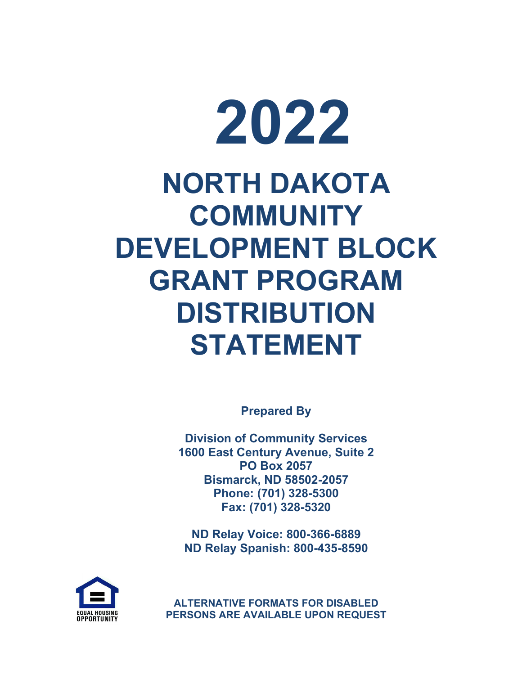# **2022 NORTH DAKOTA COMMUNITY DEVELOPMENT BLOCK GRANT PROGRAM DISTRIBUTION STATEMENT**

**Prepared By**

**Division of Community Services 1600 East Century Avenue, Suite 2 PO Box 2057 Bismarck, ND 58502-2057 Phone: (701) 328-5300 Fax: (701) 328-5320**

**ND Relay Voice: 800-366-6889 ND Relay Spanish: 800-435-8590**



**ALTERNATIVE FORMATS FOR DISABLED PERSONS ARE AVAILABLE UPON REQUEST**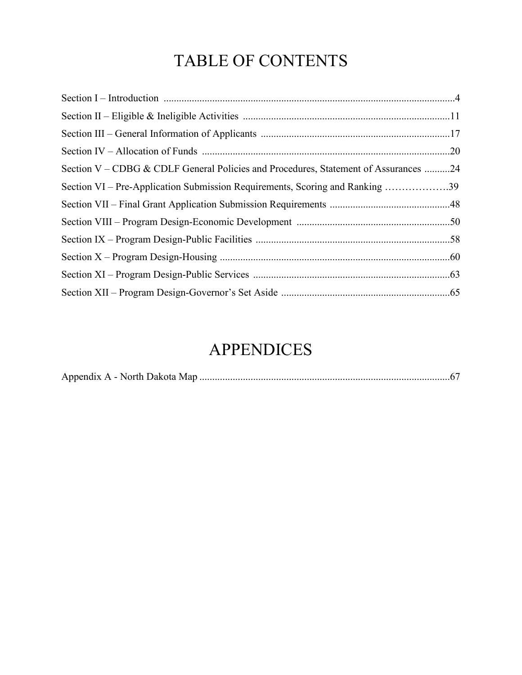# TABLE OF CONTENTS

| Section V – CDBG & CDLF General Policies and Procedures, Statement of Assurances 24 |  |
|-------------------------------------------------------------------------------------|--|
| Section VI – Pre-Application Submission Requirements, Scoring and Ranking 39        |  |
|                                                                                     |  |
|                                                                                     |  |
|                                                                                     |  |
|                                                                                     |  |
|                                                                                     |  |
|                                                                                     |  |

# APPENDICES

|--|--|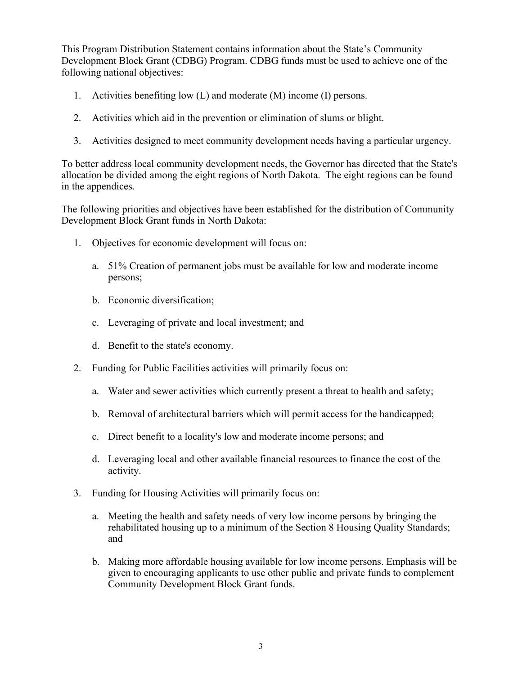This Program Distribution Statement contains information about the State's Community Development Block Grant (CDBG) Program. CDBG funds must be used to achieve one of the following national objectives:

- 1. Activities benefiting low (L) and moderate (M) income (I) persons.
- 2. Activities which aid in the prevention or elimination of slums or blight.
- 3. Activities designed to meet community development needs having a particular urgency.

To better address local community development needs, the Governor has directed that the State's allocation be divided among the eight regions of North Dakota. The eight regions can be found in the appendices.

The following priorities and objectives have been established for the distribution of Community Development Block Grant funds in North Dakota:

- 1. Objectives for economic development will focus on:
	- a. 51% Creation of permanent jobs must be available for low and moderate income persons;
	- b. Economic diversification;
	- c. Leveraging of private and local investment; and
	- d. Benefit to the state's economy.
- 2. Funding for Public Facilities activities will primarily focus on:
	- a. Water and sewer activities which currently present a threat to health and safety;
	- b. Removal of architectural barriers which will permit access for the handicapped;
	- c. Direct benefit to a locality's low and moderate income persons; and
	- d. Leveraging local and other available financial resources to finance the cost of the activity.
- 3. Funding for Housing Activities will primarily focus on:
	- a. Meeting the health and safety needs of very low income persons by bringing the rehabilitated housing up to a minimum of the Section 8 Housing Quality Standards; and
	- b. Making more affordable housing available for low income persons. Emphasis will be given to encouraging applicants to use other public and private funds to complement Community Development Block Grant funds.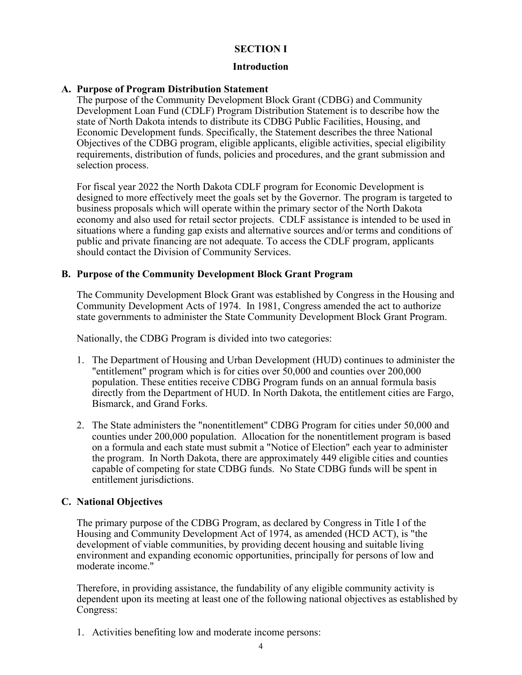#### **SECTION I**

#### **Introduction**

#### **A. Purpose of Program Distribution Statement**

The purpose of the Community Development Block Grant (CDBG) and Community Development Loan Fund (CDLF) Program Distribution Statement is to describe how the state of North Dakota intends to distribute its CDBG Public Facilities, Housing, and Economic Development funds. Specifically, the Statement describes the three National Objectives of the CDBG program, eligible applicants, eligible activities, special eligibility requirements, distribution of funds, policies and procedures, and the grant submission and selection process.

For fiscal year 2022 the North Dakota CDLF program for Economic Development is designed to more effectively meet the goals set by the Governor. The program is targeted to business proposals which will operate within the primary sector of the North Dakota economy and also used for retail sector projects. CDLF assistance is intended to be used in situations where a funding gap exists and alternative sources and/or terms and conditions of public and private financing are not adequate. To access the CDLF program, applicants should contact the Division of Community Services.

#### **B. Purpose of the Community Development Block Grant Program**

The Community Development Block Grant was established by Congress in the Housing and Community Development Acts of 1974. In 1981, Congress amended the act to authorize state governments to administer the State Community Development Block Grant Program.

Nationally, the CDBG Program is divided into two categories:

- 1. The Department of Housing and Urban Development (HUD) continues to administer the "entitlement" program which is for cities over 50,000 and counties over 200,000 population. These entities receive CDBG Program funds on an annual formula basis directly from the Department of HUD. In North Dakota, the entitlement cities are Fargo, Bismarck, and Grand Forks.
- 2. The State administers the "nonentitlement" CDBG Program for cities under 50,000 and counties under 200,000 population. Allocation for the nonentitlement program is based on a formula and each state must submit a "Notice of Election" each year to administer the program. In North Dakota, there are approximately 449 eligible cities and counties capable of competing for state CDBG funds. No State CDBG funds will be spent in entitlement jurisdictions.

#### **C. National Objectives**

The primary purpose of the CDBG Program, as declared by Congress in Title I of the Housing and Community Development Act of 1974, as amended (HCD ACT), is "the development of viable communities, by providing decent housing and suitable living environment and expanding economic opportunities, principally for persons of low and moderate income."

Therefore, in providing assistance, the fundability of any eligible community activity is dependent upon its meeting at least one of the following national objectives as established by Congress:

1. Activities benefiting low and moderate income persons: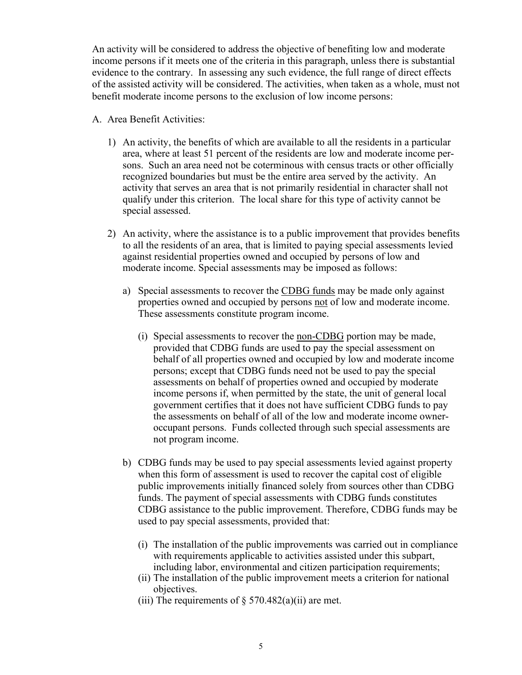An activity will be considered to address the objective of benefiting low and moderate income persons if it meets one of the criteria in this paragraph, unless there is substantial evidence to the contrary. In assessing any such evidence, the full range of direct effects of the assisted activity will be considered. The activities, when taken as a whole, must not benefit moderate income persons to the exclusion of low income persons:

- A. Area Benefit Activities:
	- 1) An activity, the benefits of which are available to all the residents in a particular area, where at least 51 percent of the residents are low and moderate income persons. Such an area need not be coterminous with census tracts or other officially recognized boundaries but must be the entire area served by the activity. An activity that serves an area that is not primarily residential in character shall not qualify under this criterion. The local share for this type of activity cannot be special assessed.
	- 2) An activity, where the assistance is to a public improvement that provides benefits to all the residents of an area, that is limited to paying special assessments levied against residential properties owned and occupied by persons of low and moderate income. Special assessments may be imposed as follows:
		- a) Special assessments to recover the CDBG funds may be made only against properties owned and occupied by persons not of low and moderate income. These assessments constitute program income.
			- (i) Special assessments to recover the non-CDBG portion may be made, provided that CDBG funds are used to pay the special assessment on behalf of all properties owned and occupied by low and moderate income persons; except that CDBG funds need not be used to pay the special assessments on behalf of properties owned and occupied by moderate income persons if, when permitted by the state, the unit of general local government certifies that it does not have sufficient CDBG funds to pay the assessments on behalf of all of the low and moderate income owneroccupant persons. Funds collected through such special assessments are not program income.
		- b) CDBG funds may be used to pay special assessments levied against property when this form of assessment is used to recover the capital cost of eligible public improvements initially financed solely from sources other than CDBG funds. The payment of special assessments with CDBG funds constitutes CDBG assistance to the public improvement. Therefore, CDBG funds may be used to pay special assessments, provided that:
			- (i) The installation of the public improvements was carried out in compliance with requirements applicable to activities assisted under this subpart, including labor, environmental and citizen participation requirements;
			- (ii) The installation of the public improvement meets a criterion for national objectives.
			- (iii) The requirements of  $\S$  570.482(a)(ii) are met.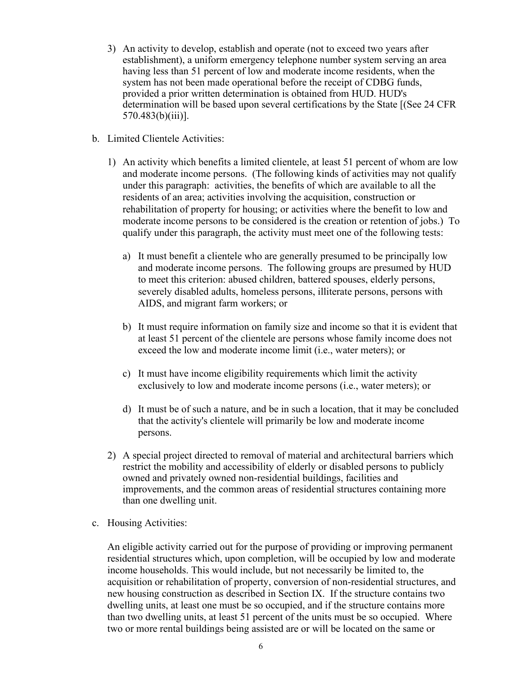- 3) An activity to develop, establish and operate (not to exceed two years after establishment), a uniform emergency telephone number system serving an area having less than 51 percent of low and moderate income residents, when the system has not been made operational before the receipt of CDBG funds, provided a prior written determination is obtained from HUD. HUD's determination will be based upon several certifications by the State [(See 24 CFR  $570.483(b)(iii)$ ].
- b. Limited Clientele Activities:
	- 1) An activity which benefits a limited clientele, at least 51 percent of whom are low and moderate income persons. (The following kinds of activities may not qualify under this paragraph: activities, the benefits of which are available to all the residents of an area; activities involving the acquisition, construction or rehabilitation of property for housing; or activities where the benefit to low and moderate income persons to be considered is the creation or retention of jobs.) To qualify under this paragraph, the activity must meet one of the following tests:
		- a) It must benefit a clientele who are generally presumed to be principally low and moderate income persons. The following groups are presumed by HUD to meet this criterion: abused children, battered spouses, elderly persons, severely disabled adults, homeless persons, illiterate persons, persons with AIDS, and migrant farm workers; or
		- b) It must require information on family size and income so that it is evident that at least 51 percent of the clientele are persons whose family income does not exceed the low and moderate income limit (i.e., water meters); or
		- c) It must have income eligibility requirements which limit the activity exclusively to low and moderate income persons (i.e., water meters); or
		- d) It must be of such a nature, and be in such a location, that it may be concluded that the activity's clientele will primarily be low and moderate income persons.
	- 2) A special project directed to removal of material and architectural barriers which restrict the mobility and accessibility of elderly or disabled persons to publicly owned and privately owned non-residential buildings, facilities and improvements, and the common areas of residential structures containing more than one dwelling unit.
- c. Housing Activities:

An eligible activity carried out for the purpose of providing or improving permanent residential structures which, upon completion, will be occupied by low and moderate income households. This would include, but not necessarily be limited to, the acquisition or rehabilitation of property, conversion of non-residential structures, and new housing construction as described in Section IX. If the structure contains two dwelling units, at least one must be so occupied, and if the structure contains more than two dwelling units, at least 51 percent of the units must be so occupied. Where two or more rental buildings being assisted are or will be located on the same or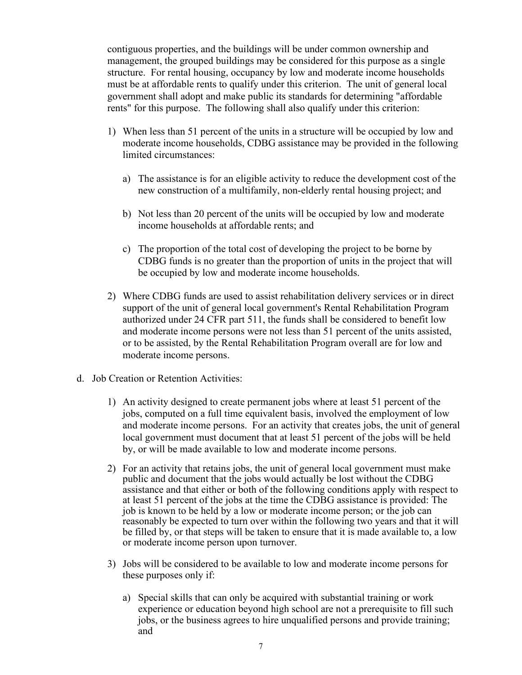contiguous properties, and the buildings will be under common ownership and management, the grouped buildings may be considered for this purpose as a single structure. For rental housing, occupancy by low and moderate income households must be at affordable rents to qualify under this criterion. The unit of general local government shall adopt and make public its standards for determining "affordable rents" for this purpose. The following shall also qualify under this criterion:

- 1) When less than 51 percent of the units in a structure will be occupied by low and moderate income households, CDBG assistance may be provided in the following limited circumstances:
	- a) The assistance is for an eligible activity to reduce the development cost of the new construction of a multifamily, non-elderly rental housing project; and
	- b) Not less than 20 percent of the units will be occupied by low and moderate income households at affordable rents; and
	- c) The proportion of the total cost of developing the project to be borne by CDBG funds is no greater than the proportion of units in the project that will be occupied by low and moderate income households.
- 2) Where CDBG funds are used to assist rehabilitation delivery services or in direct support of the unit of general local government's Rental Rehabilitation Program authorized under 24 CFR part 511, the funds shall be considered to benefit low and moderate income persons were not less than 51 percent of the units assisted, or to be assisted, by the Rental Rehabilitation Program overall are for low and moderate income persons.
- d. Job Creation or Retention Activities:
	- 1) An activity designed to create permanent jobs where at least 51 percent of the jobs, computed on a full time equivalent basis, involved the employment of low and moderate income persons. For an activity that creates jobs, the unit of general local government must document that at least 51 percent of the jobs will be held by, or will be made available to low and moderate income persons.
	- 2) For an activity that retains jobs, the unit of general local government must make public and document that the jobs would actually be lost without the CDBG assistance and that either or both of the following conditions apply with respect to at least 51 percent of the jobs at the time the CDBG assistance is provided: The job is known to be held by a low or moderate income person; or the job can reasonably be expected to turn over within the following two years and that it will be filled by, or that steps will be taken to ensure that it is made available to, a low or moderate income person upon turnover.
	- 3) Jobs will be considered to be available to low and moderate income persons for these purposes only if:
		- a) Special skills that can only be acquired with substantial training or work experience or education beyond high school are not a prerequisite to fill such jobs, or the business agrees to hire unqualified persons and provide training; and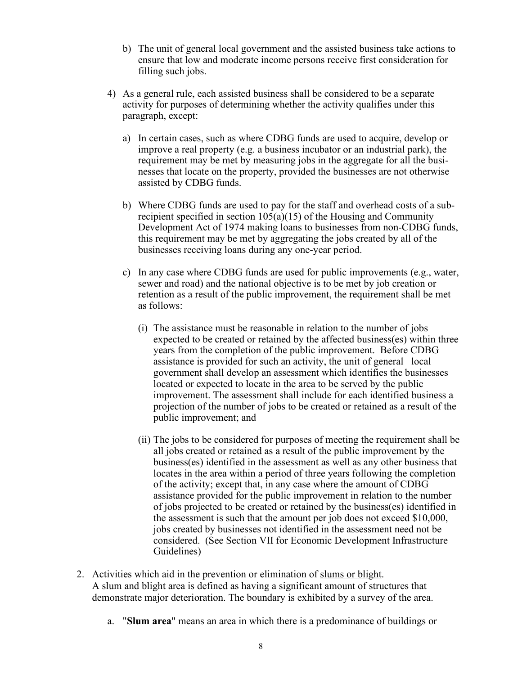- b) The unit of general local government and the assisted business take actions to ensure that low and moderate income persons receive first consideration for filling such jobs.
- 4) As a general rule, each assisted business shall be considered to be a separate activity for purposes of determining whether the activity qualifies under this paragraph, except:
	- a) In certain cases, such as where CDBG funds are used to acquire, develop or improve a real property (e.g. a business incubator or an industrial park), the requirement may be met by measuring jobs in the aggregate for all the businesses that locate on the property, provided the businesses are not otherwise assisted by CDBG funds.
	- b) Where CDBG funds are used to pay for the staff and overhead costs of a subrecipient specified in section 105(a)(15) of the Housing and Community Development Act of 1974 making loans to businesses from non-CDBG funds, this requirement may be met by aggregating the jobs created by all of the businesses receiving loans during any one-year period.
	- c) In any case where CDBG funds are used for public improvements (e.g., water, sewer and road) and the national objective is to be met by job creation or retention as a result of the public improvement, the requirement shall be met as follows:
		- (i) The assistance must be reasonable in relation to the number of jobs expected to be created or retained by the affected business(es) within three years from the completion of the public improvement. Before CDBG assistance is provided for such an activity, the unit of general local government shall develop an assessment which identifies the businesses located or expected to locate in the area to be served by the public improvement. The assessment shall include for each identified business a projection of the number of jobs to be created or retained as a result of the public improvement; and
		- (ii) The jobs to be considered for purposes of meeting the requirement shall be all jobs created or retained as a result of the public improvement by the business(es) identified in the assessment as well as any other business that locates in the area within a period of three years following the completion of the activity; except that, in any case where the amount of CDBG assistance provided for the public improvement in relation to the number of jobs projected to be created or retained by the business(es) identified in the assessment is such that the amount per job does not exceed \$10,000, jobs created by businesses not identified in the assessment need not be considered. (See Section VII for Economic Development Infrastructure Guidelines)
- 2. Activities which aid in the prevention or elimination of slums or blight. A slum and blight area is defined as having a significant amount of structures that demonstrate major deterioration. The boundary is exhibited by a survey of the area.
	- a. "**Slum area**" means an area in which there is a predominance of buildings or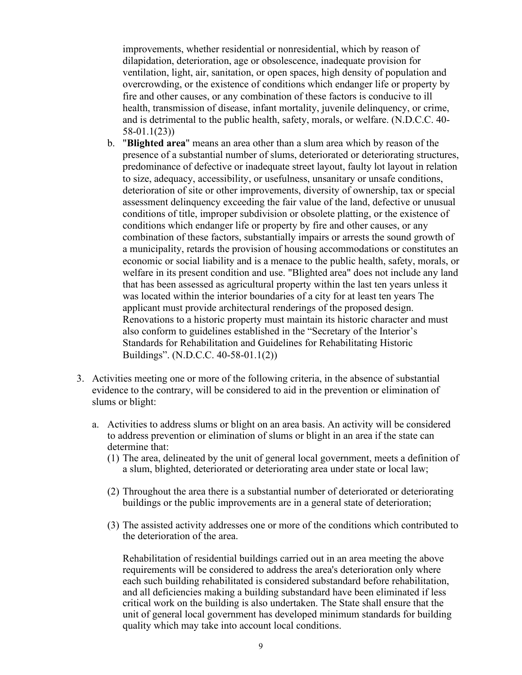improvements, whether residential or nonresidential, which by reason of dilapidation, deterioration, age or obsolescence, inadequate provision for ventilation, light, air, sanitation, or open spaces, high density of population and overcrowding, or the existence of conditions which endanger life or property by fire and other causes, or any combination of these factors is conducive to ill health, transmission of disease, infant mortality, juvenile delinquency, or crime, and is detrimental to the public health, safety, morals, or welfare. (N.D.C.C. 40- 58-01.1(23))

- b. "**Blighted area**" means an area other than a slum area which by reason of the presence of a substantial number of slums, deteriorated or deteriorating structures, predominance of defective or inadequate street layout, faulty lot layout in relation to size, adequacy, accessibility, or usefulness, unsanitary or unsafe conditions, deterioration of site or other improvements, diversity of ownership, tax or special assessment delinquency exceeding the fair value of the land, defective or unusual conditions of title, improper subdivision or obsolete platting, or the existence of conditions which endanger life or property by fire and other causes, or any combination of these factors, substantially impairs or arrests the sound growth of a municipality, retards the provision of housing accommodations or constitutes an economic or social liability and is a menace to the public health, safety, morals, or welfare in its present condition and use. "Blighted area" does not include any land that has been assessed as agricultural property within the last ten years unless it was located within the interior boundaries of a city for at least ten years The applicant must provide architectural renderings of the proposed design. Renovations to a historic property must maintain its historic character and must also conform to guidelines established in the "Secretary of the Interior's Standards for Rehabilitation and Guidelines for Rehabilitating Historic Buildings". (N.D.C.C. 40-58-01.1(2))
- 3. Activities meeting one or more of the following criteria, in the absence of substantial evidence to the contrary, will be considered to aid in the prevention or elimination of slums or blight:
	- a. Activities to address slums or blight on an area basis. An activity will be considered to address prevention or elimination of slums or blight in an area if the state can determine that:
		- (1) The area, delineated by the unit of general local government, meets a definition of a slum, blighted, deteriorated or deteriorating area under state or local law;
		- (2) Throughout the area there is a substantial number of deteriorated or deteriorating buildings or the public improvements are in a general state of deterioration;
		- (3) The assisted activity addresses one or more of the conditions which contributed to the deterioration of the area.

Rehabilitation of residential buildings carried out in an area meeting the above requirements will be considered to address the area's deterioration only where each such building rehabilitated is considered substandard before rehabilitation, and all deficiencies making a building substandard have been eliminated if less critical work on the building is also undertaken. The State shall ensure that the unit of general local government has developed minimum standards for building quality which may take into account local conditions.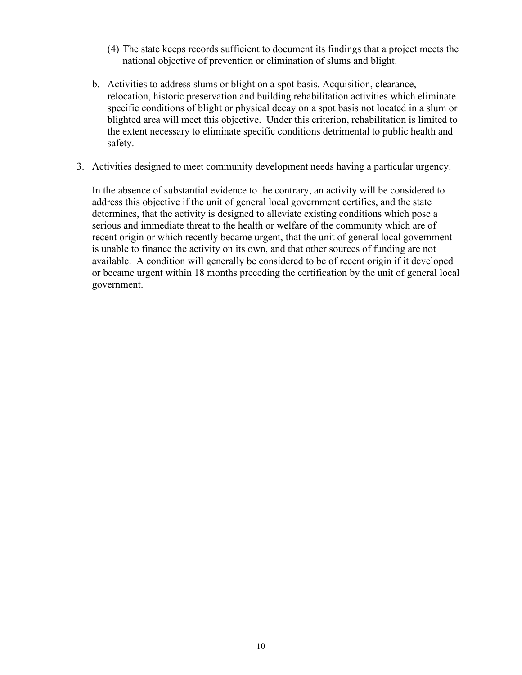- (4) The state keeps records sufficient to document its findings that a project meets the national objective of prevention or elimination of slums and blight.
- b. Activities to address slums or blight on a spot basis. Acquisition, clearance, relocation, historic preservation and building rehabilitation activities which eliminate specific conditions of blight or physical decay on a spot basis not located in a slum or blighted area will meet this objective. Under this criterion, rehabilitation is limited to the extent necessary to eliminate specific conditions detrimental to public health and safety.
- 3. Activities designed to meet community development needs having a particular urgency.

In the absence of substantial evidence to the contrary, an activity will be considered to address this objective if the unit of general local government certifies, and the state determines, that the activity is designed to alleviate existing conditions which pose a serious and immediate threat to the health or welfare of the community which are of recent origin or which recently became urgent, that the unit of general local government is unable to finance the activity on its own, and that other sources of funding are not available. A condition will generally be considered to be of recent origin if it developed or became urgent within 18 months preceding the certification by the unit of general local government.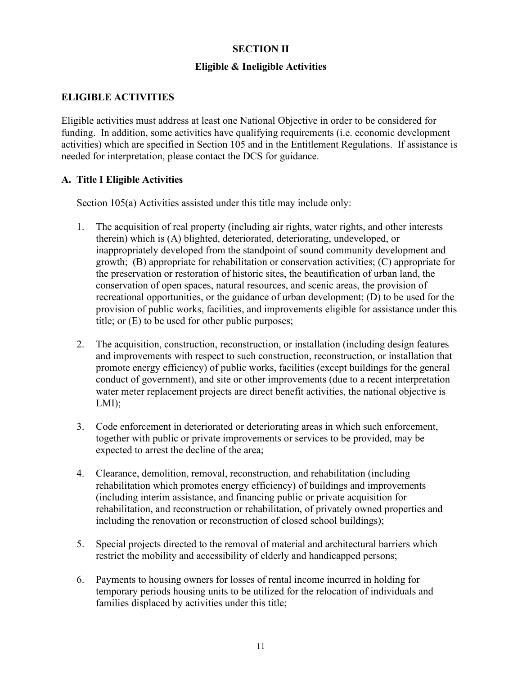# **SECTION II**

# **Eligible & Ineligible Activities**

# **ELIGIBLE ACTIVITIES**

Eligible activities must address at least one National Objective in order to be considered for funding. In addition, some activities have qualifying requirements (i.e. economic development activities) which are specified in Section 105 and in the Entitlement Regulations. If assistance is needed for interpretation, please contact the DCS for guidance.

# **A. Title I Eligible Activities**

Section 105(a) Activities assisted under this title may include only:

- 1. The acquisition of real property (including air rights, water rights, and other interests therein) which is (A) blighted, deteriorated, deteriorating, undeveloped, or inappropriately developed from the standpoint of sound community development and growth; (B) appropriate for rehabilitation or conservation activities; (C) appropriate for the preservation or restoration of historic sites, the beautification of urban land, the conservation of open spaces, natural resources, and scenic areas, the provision of recreational opportunities, or the guidance of urban development; (D) to be used for the provision of public works, facilities, and improvements eligible for assistance under this title; or (E) to be used for other public purposes;
- 2. The acquisition, construction, reconstruction, or installation (including design features and improvements with respect to such construction, reconstruction, or installation that promote energy efficiency) of public works, facilities (except buildings for the general conduct of government), and site or other improvements (due to a recent interpretation water meter replacement projects are direct benefit activities, the national objective is LMI);
- 3. Code enforcement in deteriorated or deteriorating areas in which such enforcement, together with public or private improvements or services to be provided, may be expected to arrest the decline of the area;
- 4. Clearance, demolition, removal, reconstruction, and rehabilitation (including rehabilitation which promotes energy efficiency) of buildings and improvements (including interim assistance, and financing public or private acquisition for rehabilitation, and reconstruction or rehabilitation, of privately owned properties and including the renovation or reconstruction of closed school buildings);
- 5. Special projects directed to the removal of material and architectural barriers which restrict the mobility and accessibility of elderly and handicapped persons;
- 6. Payments to housing owners for losses of rental income incurred in holding for temporary periods housing units to be utilized for the relocation of individuals and families displaced by activities under this title;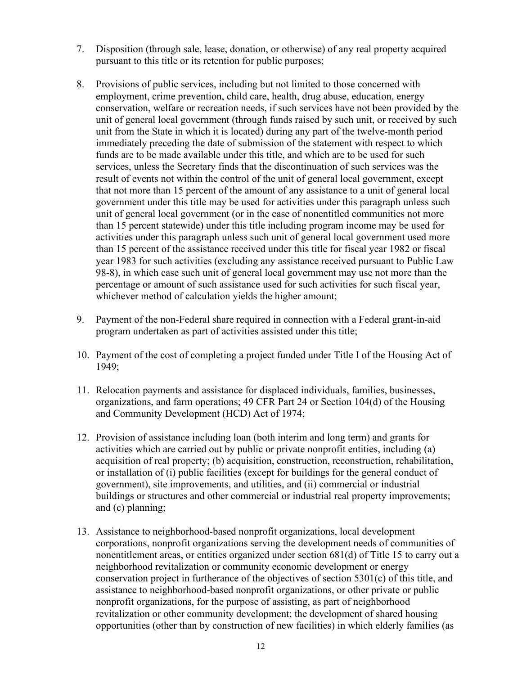- 7. Disposition (through sale, lease, donation, or otherwise) of any real property acquired pursuant to this title or its retention for public purposes;
- 8. Provisions of public services, including but not limited to those concerned with employment, crime prevention, child care, health, drug abuse, education, energy conservation, welfare or recreation needs, if such services have not been provided by the unit of general local government (through funds raised by such unit, or received by such unit from the State in which it is located) during any part of the twelve-month period immediately preceding the date of submission of the statement with respect to which funds are to be made available under this title, and which are to be used for such services, unless the Secretary finds that the discontinuation of such services was the result of events not within the control of the unit of general local government, except that not more than 15 percent of the amount of any assistance to a unit of general local government under this title may be used for activities under this paragraph unless such unit of general local government (or in the case of nonentitled communities not more than 15 percent statewide) under this title including program income may be used for activities under this paragraph unless such unit of general local government used more than 15 percent of the assistance received under this title for fiscal year 1982 or fiscal year 1983 for such activities (excluding any assistance received pursuant to Public Law 98-8), in which case such unit of general local government may use not more than the percentage or amount of such assistance used for such activities for such fiscal year, whichever method of calculation yields the higher amount;
- 9. Payment of the non-Federal share required in connection with a Federal grant-in-aid program undertaken as part of activities assisted under this title;
- 10. Payment of the cost of completing a project funded under Title I of the Housing Act of 1949;
- 11. Relocation payments and assistance for displaced individuals, families, businesses, organizations, and farm operations; 49 CFR Part 24 or Section 104(d) of the Housing and Community Development (HCD) Act of 1974;
- 12. Provision of assistance including loan (both interim and long term) and grants for activities which are carried out by public or private nonprofit entities, including (a) acquisition of real property; (b) acquisition, construction, reconstruction, rehabilitation, or installation of (i) public facilities (except for buildings for the general conduct of government), site improvements, and utilities, and (ii) commercial or industrial buildings or structures and other commercial or industrial real property improvements; and (c) planning;
- 13. Assistance to neighborhood-based nonprofit organizations, local development corporations, nonprofit organizations serving the development needs of communities of nonentitlement areas, or entities organized under section 681(d) of Title 15 to carry out a neighborhood revitalization or community economic development or energy conservation project in furtherance of the objectives of section 5301(c) of this title, and assistance to neighborhood-based nonprofit organizations, or other private or public nonprofit organizations, for the purpose of assisting, as part of neighborhood revitalization or other community development; the development of shared housing opportunities (other than by construction of new facilities) in which elderly families (as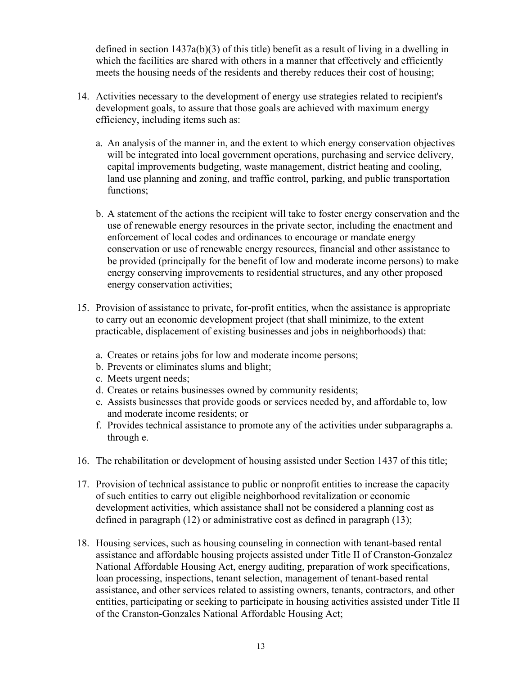defined in section  $1437a(b)(3)$  of this title) benefit as a result of living in a dwelling in which the facilities are shared with others in a manner that effectively and efficiently meets the housing needs of the residents and thereby reduces their cost of housing;

- 14. Activities necessary to the development of energy use strategies related to recipient's development goals, to assure that those goals are achieved with maximum energy efficiency, including items such as:
	- a. An analysis of the manner in, and the extent to which energy conservation objectives will be integrated into local government operations, purchasing and service delivery, capital improvements budgeting, waste management, district heating and cooling, land use planning and zoning, and traffic control, parking, and public transportation functions;
	- b. A statement of the actions the recipient will take to foster energy conservation and the use of renewable energy resources in the private sector, including the enactment and enforcement of local codes and ordinances to encourage or mandate energy conservation or use of renewable energy resources, financial and other assistance to be provided (principally for the benefit of low and moderate income persons) to make energy conserving improvements to residential structures, and any other proposed energy conservation activities;
- 15. Provision of assistance to private, for-profit entities, when the assistance is appropriate to carry out an economic development project (that shall minimize, to the extent practicable, displacement of existing businesses and jobs in neighborhoods) that:
	- a. Creates or retains jobs for low and moderate income persons;
	- b. Prevents or eliminates slums and blight;
	- c. Meets urgent needs;
	- d. Creates or retains businesses owned by community residents;
	- e. Assists businesses that provide goods or services needed by, and affordable to, low and moderate income residents; or
	- f. Provides technical assistance to promote any of the activities under subparagraphs a. through e.
- 16. The rehabilitation or development of housing assisted under Section 1437 of this title;
- 17. Provision of technical assistance to public or nonprofit entities to increase the capacity of such entities to carry out eligible neighborhood revitalization or economic development activities, which assistance shall not be considered a planning cost as defined in paragraph (12) or administrative cost as defined in paragraph (13);
- 18. Housing services, such as housing counseling in connection with tenant-based rental assistance and affordable housing projects assisted under Title II of Cranston-Gonzalez National Affordable Housing Act, energy auditing, preparation of work specifications, loan processing, inspections, tenant selection, management of tenant-based rental assistance, and other services related to assisting owners, tenants, contractors, and other entities, participating or seeking to participate in housing activities assisted under Title II of the Cranston-Gonzales National Affordable Housing Act;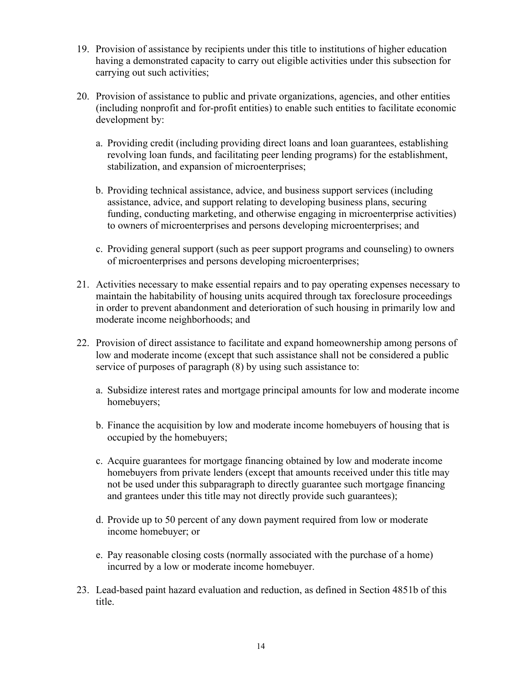- 19. Provision of assistance by recipients under this title to institutions of higher education having a demonstrated capacity to carry out eligible activities under this subsection for carrying out such activities;
- 20. Provision of assistance to public and private organizations, agencies, and other entities (including nonprofit and for-profit entities) to enable such entities to facilitate economic development by:
	- a. Providing credit (including providing direct loans and loan guarantees, establishing revolving loan funds, and facilitating peer lending programs) for the establishment, stabilization, and expansion of microenterprises;
	- b. Providing technical assistance, advice, and business support services (including assistance, advice, and support relating to developing business plans, securing funding, conducting marketing, and otherwise engaging in microenterprise activities) to owners of microenterprises and persons developing microenterprises; and
	- c. Providing general support (such as peer support programs and counseling) to owners of microenterprises and persons developing microenterprises;
- 21. Activities necessary to make essential repairs and to pay operating expenses necessary to maintain the habitability of housing units acquired through tax foreclosure proceedings in order to prevent abandonment and deterioration of such housing in primarily low and moderate income neighborhoods; and
- 22. Provision of direct assistance to facilitate and expand homeownership among persons of low and moderate income (except that such assistance shall not be considered a public service of purposes of paragraph (8) by using such assistance to:
	- a. Subsidize interest rates and mortgage principal amounts for low and moderate income homebuyers;
	- b. Finance the acquisition by low and moderate income homebuyers of housing that is occupied by the homebuyers;
	- c. Acquire guarantees for mortgage financing obtained by low and moderate income homebuyers from private lenders (except that amounts received under this title may not be used under this subparagraph to directly guarantee such mortgage financing and grantees under this title may not directly provide such guarantees);
	- d. Provide up to 50 percent of any down payment required from low or moderate income homebuyer; or
	- e. Pay reasonable closing costs (normally associated with the purchase of a home) incurred by a low or moderate income homebuyer.
- 23. Lead-based paint hazard evaluation and reduction, as defined in Section 4851b of this title.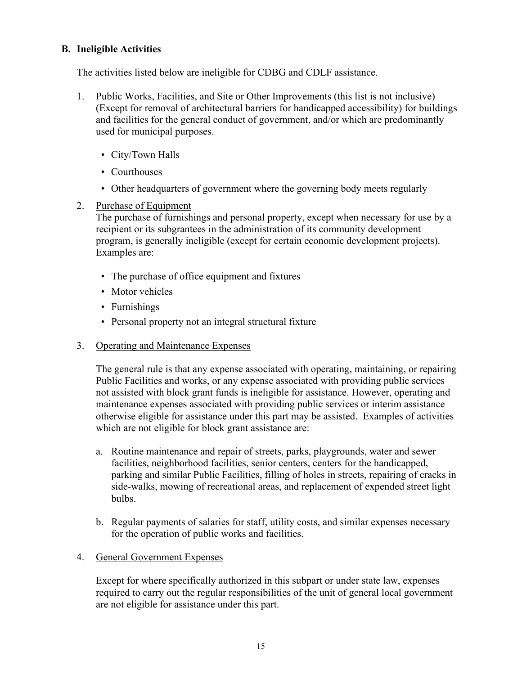# **B. Ineligible Activities**

The activities listed below are ineligible for CDBG and CDLF assistance.

- 1. Public Works, Facilities, and Site or Other Improvements (this list is not inclusive) (Except for removal of architectural barriers for handicapped accessibility) for buildings and facilities for the general conduct of government, and/or which are predominantly used for municipal purposes.
	- City/Town Halls
	- Courthouses
	- Other headquarters of government where the governing body meets regularly
- 2. Purchase of Equipment

The purchase of furnishings and personal property, except when necessary for use by a recipient or its subgrantees in the administration of its community development program, is generally ineligible (except for certain economic development projects). Examples are:

- The purchase of office equipment and fixtures
- Motor vehicles
- Furnishings
- Personal property not an integral structural fixture
- 3. Operating and Maintenance Expenses

The general rule is that any expense associated with operating, maintaining, or repairing Public Facilities and works, or any expense associated with providing public services not assisted with block grant funds is ineligible for assistance. However, operating and maintenance expenses associated with providing public services or interim assistance otherwise eligible for assistance under this part may be assisted. Examples of activities which are not eligible for block grant assistance are:

- a. Routine maintenance and repair of streets, parks, playgrounds, water and sewer facilities, neighborhood facilities, senior centers, centers for the handicapped, parking and similar Public Facilities, filling of holes in streets, repairing of cracks in side-walks, mowing of recreational areas, and replacement of expended street light bulbs.
- b. Regular payments of salaries for staff, utility costs, and similar expenses necessary for the operation of public works and facilities.
- 4. General Government Expenses

Except for where specifically authorized in this subpart or under state law, expenses required to carry out the regular responsibilities of the unit of general local government are not eligible for assistance under this part.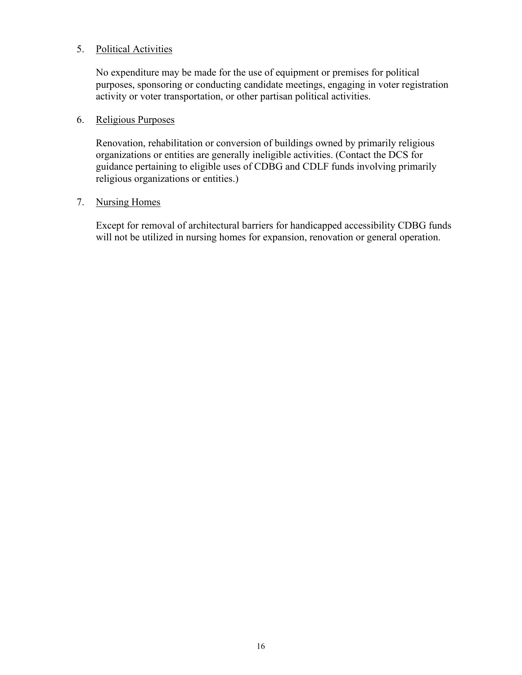#### 5. Political Activities

No expenditure may be made for the use of equipment or premises for political purposes, sponsoring or conducting candidate meetings, engaging in voter registration activity or voter transportation, or other partisan political activities.

#### 6. Religious Purposes

Renovation, rehabilitation or conversion of buildings owned by primarily religious organizations or entities are generally ineligible activities. (Contact the DCS for guidance pertaining to eligible uses of CDBG and CDLF funds involving primarily religious organizations or entities.)

#### 7. Nursing Homes

Except for removal of architectural barriers for handicapped accessibility CDBG funds will not be utilized in nursing homes for expansion, renovation or general operation.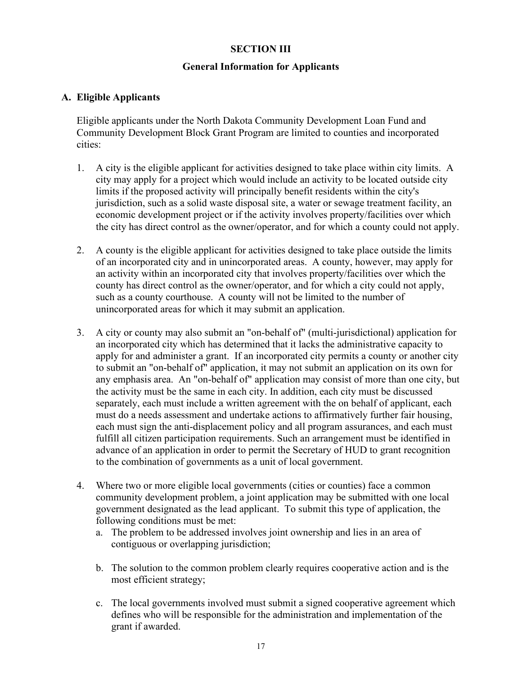#### **SECTION III**

#### **General Information for Applicants**

#### **A. Eligible Applicants**

Eligible applicants under the North Dakota Community Development Loan Fund and Community Development Block Grant Program are limited to counties and incorporated cities:

- 1. A city is the eligible applicant for activities designed to take place within city limits. A city may apply for a project which would include an activity to be located outside city limits if the proposed activity will principally benefit residents within the city's jurisdiction, such as a solid waste disposal site, a water or sewage treatment facility, an economic development project or if the activity involves property/facilities over which the city has direct control as the owner/operator, and for which a county could not apply.
- 2. A county is the eligible applicant for activities designed to take place outside the limits of an incorporated city and in unincorporated areas. A county, however, may apply for an activity within an incorporated city that involves property/facilities over which the county has direct control as the owner/operator, and for which a city could not apply, such as a county courthouse. A county will not be limited to the number of unincorporated areas for which it may submit an application.
- 3. A city or county may also submit an "on-behalf of" (multi-jurisdictional) application for an incorporated city which has determined that it lacks the administrative capacity to apply for and administer a grant. If an incorporated city permits a county or another city to submit an "on-behalf of" application, it may not submit an application on its own for any emphasis area. An "on-behalf of" application may consist of more than one city, but the activity must be the same in each city. In addition, each city must be discussed separately, each must include a written agreement with the on behalf of applicant, each must do a needs assessment and undertake actions to affirmatively further fair housing, each must sign the anti-displacement policy and all program assurances, and each must fulfill all citizen participation requirements. Such an arrangement must be identified in advance of an application in order to permit the Secretary of HUD to grant recognition to the combination of governments as a unit of local government.
- 4. Where two or more eligible local governments (cities or counties) face a common community development problem, a joint application may be submitted with one local government designated as the lead applicant. To submit this type of application, the following conditions must be met:
	- a. The problem to be addressed involves joint ownership and lies in an area of contiguous or overlapping jurisdiction;
	- b. The solution to the common problem clearly requires cooperative action and is the most efficient strategy;
	- c. The local governments involved must submit a signed cooperative agreement which defines who will be responsible for the administration and implementation of the grant if awarded.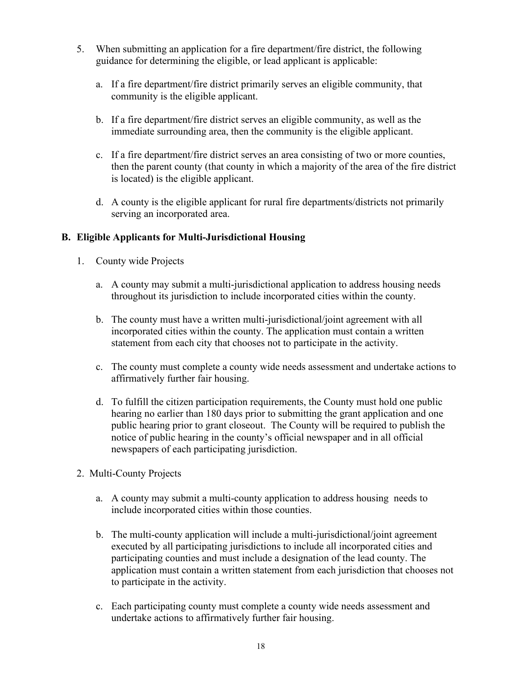- 5. When submitting an application for a fire department/fire district, the following guidance for determining the eligible, or lead applicant is applicable:
	- a. If a fire department/fire district primarily serves an eligible community, that community is the eligible applicant.
	- b. If a fire department/fire district serves an eligible community, as well as the immediate surrounding area, then the community is the eligible applicant.
	- c. If a fire department/fire district serves an area consisting of two or more counties, then the parent county (that county in which a majority of the area of the fire district is located) is the eligible applicant.
	- d. A county is the eligible applicant for rural fire departments/districts not primarily serving an incorporated area.

# **B. Eligible Applicants for Multi-Jurisdictional Housing**

- 1. County wide Projects
	- a. A county may submit a multi-jurisdictional application to address housing needs throughout its jurisdiction to include incorporated cities within the county.
	- b. The county must have a written multi-jurisdictional/joint agreement with all incorporated cities within the county. The application must contain a written statement from each city that chooses not to participate in the activity.
	- c. The county must complete a county wide needs assessment and undertake actions to affirmatively further fair housing.
	- d. To fulfill the citizen participation requirements, the County must hold one public hearing no earlier than 180 days prior to submitting the grant application and one public hearing prior to grant closeout. The County will be required to publish the notice of public hearing in the county's official newspaper and in all official newspapers of each participating jurisdiction.
- 2. Multi-County Projects
	- a. A county may submit a multi-county application to address housing needs to include incorporated cities within those counties.
	- b. The multi-county application will include a multi-jurisdictional/joint agreement executed by all participating jurisdictions to include all incorporated cities and participating counties and must include a designation of the lead county. The application must contain a written statement from each jurisdiction that chooses not to participate in the activity.
	- c. Each participating county must complete a county wide needs assessment and undertake actions to affirmatively further fair housing.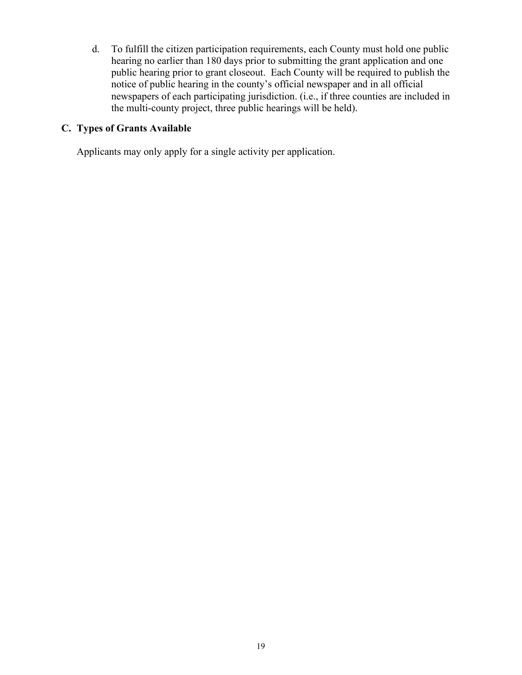d. To fulfill the citizen participation requirements, each County must hold one public hearing no earlier than 180 days prior to submitting the grant application and one public hearing prior to grant closeout. Each County will be required to publish the notice of public hearing in the county's official newspaper and in all official newspapers of each participating jurisdiction. (i.e., if three counties are included in the multi-county project, three public hearings will be held).

# **C. Types of Grants Available**

Applicants may only apply for a single activity per application.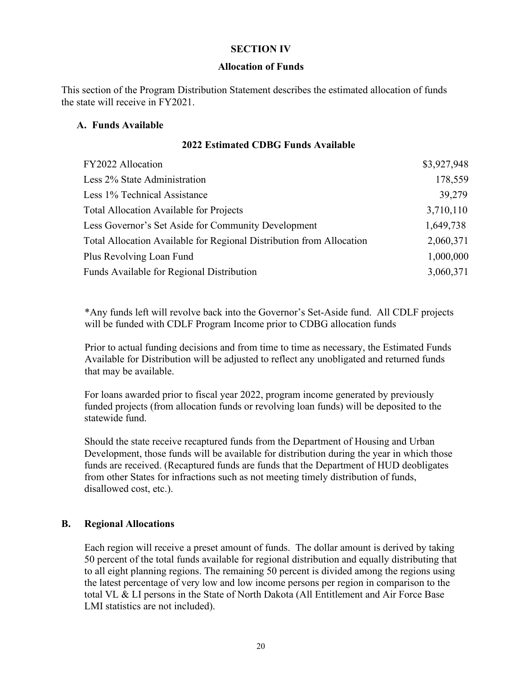#### **SECTION IV**

#### **Allocation of Funds**

This section of the Program Distribution Statement describes the estimated allocation of funds the state will receive in FY2021.

#### **A. Funds Available**

#### **2022 Estimated CDBG Funds Available**

| FY2022 Allocation                                                    | \$3,927,948 |
|----------------------------------------------------------------------|-------------|
| Less 2% State Administration                                         | 178,559     |
| Less 1% Technical Assistance                                         | 39,279      |
| <b>Total Allocation Available for Projects</b>                       | 3,710,110   |
| Less Governor's Set Aside for Community Development                  | 1,649,738   |
| Total Allocation Available for Regional Distribution from Allocation | 2,060,371   |
| Plus Revolving Loan Fund                                             | 1,000,000   |
| Funds Available for Regional Distribution                            | 3,060,371   |

\*Any funds left will revolve back into the Governor's Set-Aside fund. All CDLF projects will be funded with CDLF Program Income prior to CDBG allocation funds

Prior to actual funding decisions and from time to time as necessary, the Estimated Funds Available for Distribution will be adjusted to reflect any unobligated and returned funds that may be available.

For loans awarded prior to fiscal year 2022, program income generated by previously funded projects (from allocation funds or revolving loan funds) will be deposited to the statewide fund.

Should the state receive recaptured funds from the Department of Housing and Urban Development, those funds will be available for distribution during the year in which those funds are received. (Recaptured funds are funds that the Department of HUD deobligates from other States for infractions such as not meeting timely distribution of funds, disallowed cost, etc.).

#### **B. Regional Allocations**

Each region will receive a preset amount of funds. The dollar amount is derived by taking 50 percent of the total funds available for regional distribution and equally distributing that to all eight planning regions. The remaining 50 percent is divided among the regions using the latest percentage of very low and low income persons per region in comparison to the total VL & LI persons in the State of North Dakota (All Entitlement and Air Force Base LMI statistics are not included).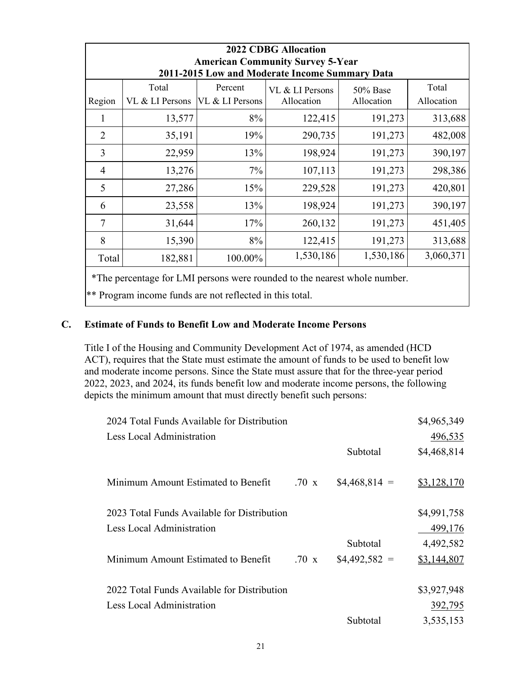| <b>2022 CDBG Allocation</b><br><b>American Community Survey 5-Year</b><br>2011-2015 Low and Moderate Income Summary Data |                          |                            |                               |                           |                     |
|--------------------------------------------------------------------------------------------------------------------------|--------------------------|----------------------------|-------------------------------|---------------------------|---------------------|
| Region                                                                                                                   | Total<br>VL & LI Persons | Percent<br>VL & LI Persons | VL & LI Persons<br>Allocation | $50\%$ Base<br>Allocation | Total<br>Allocation |
|                                                                                                                          | 13,577                   | 8%                         | 122,415                       | 191,273                   | 313,688             |
| $\overline{2}$                                                                                                           | 35,191                   | 19%                        | 290,735                       | 191,273                   | 482,008             |
| 3                                                                                                                        | 22,959                   | 13%                        | 198,924                       | 191,273                   | 390,197             |
| $\overline{4}$                                                                                                           | 13,276                   | 7%                         | 107,113                       | 191,273                   | 298,386             |
| 5                                                                                                                        | 27,286                   | 15%                        | 229,528                       | 191,273                   | 420,801             |
| 6                                                                                                                        | 23,558                   | 13%                        | 198,924                       | 191,273                   | 390,197             |
| $\overline{7}$                                                                                                           | 31,644                   | 17%                        | 260,132                       | 191,273                   | 451,405             |
| 8                                                                                                                        | 15,390                   | 8%                         | 122,415                       | 191,273                   | 313,688             |
| Total                                                                                                                    | 182,881                  | 100.00%                    | 1,530,186                     | 1,530,186                 | 3,060,371           |

\*The percentage for LMI persons were rounded to the nearest whole number.

\*\* Program income funds are not reflected in this total.

# **C. Estimate of Funds to Benefit Low and Moderate Income Persons**

Title I of the Housing and Community Development Act of 1974, as amended (HCD ACT), requires that the State must estimate the amount of funds to be used to benefit low and moderate income persons. Since the State must assure that for the three-year period 2022, 2023, and 2024, its funds benefit low and moderate income persons, the following depicts the minimum amount that must directly benefit such persons:

| 2024 Total Funds Available for Distribution |                  |                | \$4,965,349 |
|---------------------------------------------|------------------|----------------|-------------|
| Less Local Administration                   |                  |                | 496,535     |
|                                             |                  | Subtotal       | \$4,468,814 |
| Minimum Amount Estimated to Benefit         | $.70 \mathrm{x}$ | $$4,468,814 =$ | \$3,128,170 |
| 2023 Total Funds Available for Distribution |                  |                | \$4,991,758 |
| Less Local Administration                   |                  |                | 499,176     |
|                                             |                  | Subtotal       | 4,492,582   |
| Minimum Amount Estimated to Benefit         | $.70 \times$     | $$4,492,582 =$ | \$3,144,807 |
|                                             |                  |                |             |
| 2022 Total Funds Available for Distribution |                  |                | \$3,927,948 |
| Less Local Administration                   |                  |                | 392,795     |
|                                             |                  | Subtotal       | 3,535,153   |
|                                             |                  |                |             |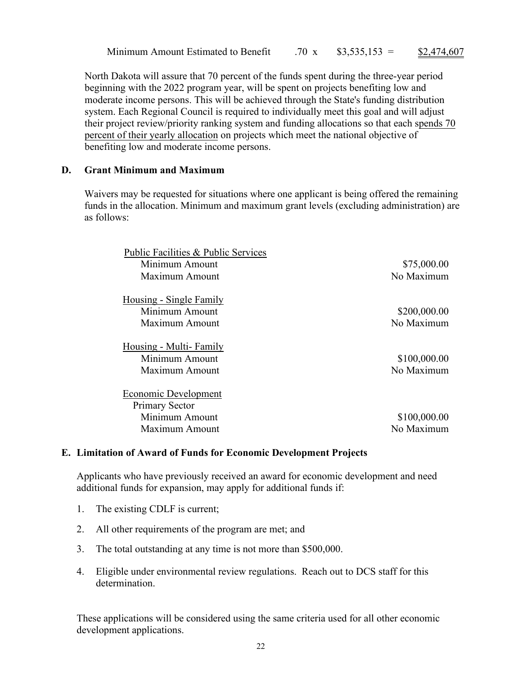Minimum Amount Estimated to Benefit

.70 x  $$3,535,153 = $2,474,607$ 

North Dakota will assure that 70 percent of the funds spent during the three-year period beginning with the 2022 program year, will be spent on projects benefiting low and moderate income persons. This will be achieved through the State's funding distribution system. Each Regional Council is required to individually meet this goal and will adjust their project review/priority ranking system and funding allocations so that each spends 70 percent of their yearly allocation on projects which meet the national objective of benefiting low and moderate income persons.

# **D. Grant Minimum and Maximum**

Waivers may be requested for situations where one applicant is being offered the remaining funds in the allocation. Minimum and maximum grant levels (excluding administration) are as follows:

| Public Facilities & Public Services |              |
|-------------------------------------|--------------|
| Minimum Amount                      | \$75,000.00  |
| Maximum Amount                      | No Maximum   |
| <u>Housing - Single Family</u>      |              |
| Minimum Amount                      | \$200,000.00 |
| Maximum Amount                      | No Maximum   |
| Housing - Multi-Family              |              |
| Minimum Amount                      | \$100,000.00 |
| Maximum Amount                      | No Maximum   |
| <b>Economic Development</b>         |              |
| <b>Primary Sector</b>               |              |
| Minimum Amount                      | \$100,000.00 |
| Maximum Amount                      | No Maximum   |

# **E. Limitation of Award of Funds for Economic Development Projects**

Applicants who have previously received an award for economic development and need additional funds for expansion, may apply for additional funds if:

- 1. The existing CDLF is current;
- 2. All other requirements of the program are met; and
- 3. The total outstanding at any time is not more than \$500,000.
- 4. Eligible under environmental review regulations. Reach out to DCS staff for this determination.

These applications will be considered using the same criteria used for all other economic development applications.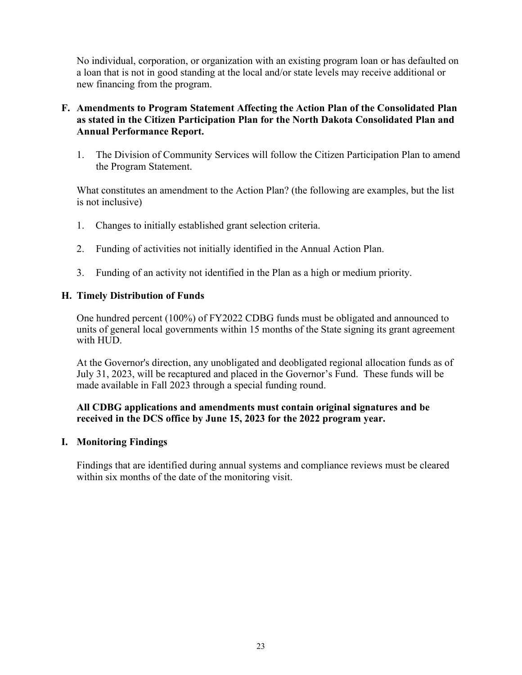No individual, corporation, or organization with an existing program loan or has defaulted on a loan that is not in good standing at the local and/or state levels may receive additional or new financing from the program.

# **F. Amendments to Program Statement Affecting the Action Plan of the Consolidated Plan as stated in the Citizen Participation Plan for the North Dakota Consolidated Plan and Annual Performance Report.**

1. The Division of Community Services will follow the Citizen Participation Plan to amend the Program Statement.

What constitutes an amendment to the Action Plan? (the following are examples, but the list is not inclusive)

- 1. Changes to initially established grant selection criteria.
- 2. Funding of activities not initially identified in the Annual Action Plan.
- 3. Funding of an activity not identified in the Plan as a high or medium priority.

#### **H. Timely Distribution of Funds**

One hundred percent (100%) of FY2022 CDBG funds must be obligated and announced to units of general local governments within 15 months of the State signing its grant agreement with HUD.

At the Governor's direction, any unobligated and deobligated regional allocation funds as of July 31, 2023, will be recaptured and placed in the Governor's Fund. These funds will be made available in Fall 2023 through a special funding round.

#### **All CDBG applications and amendments must contain original signatures and be received in the DCS office by June 15, 2023 for the 2022 program year.**

#### **I. Monitoring Findings**

Findings that are identified during annual systems and compliance reviews must be cleared within six months of the date of the monitoring visit.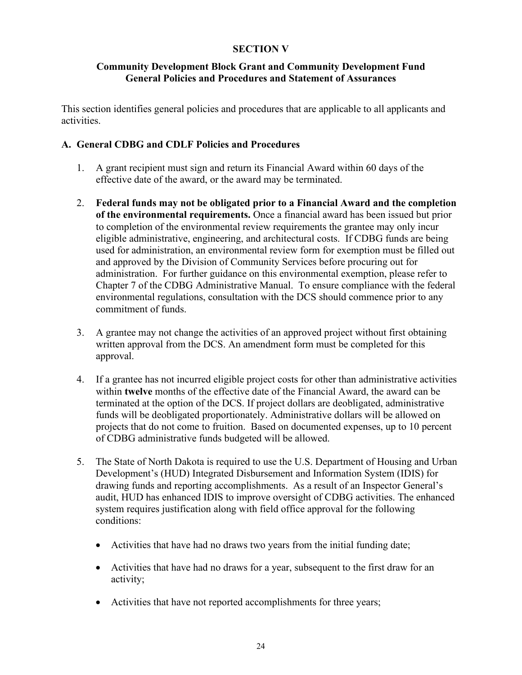# **SECTION V**

#### **Community Development Block Grant and Community Development Fund General Policies and Procedures and Statement of Assurances**

This section identifies general policies and procedures that are applicable to all applicants and activities.

#### **A. General CDBG and CDLF Policies and Procedures**

- 1. A grant recipient must sign and return its Financial Award within 60 days of the effective date of the award, or the award may be terminated.
- 2. **Federal funds may not be obligated prior to a Financial Award and the completion of the environmental requirements.** Once a financial award has been issued but prior to completion of the environmental review requirements the grantee may only incur eligible administrative, engineering, and architectural costs. If CDBG funds are being used for administration, an environmental review form for exemption must be filled out and approved by the Division of Community Services before procuring out for administration. For further guidance on this environmental exemption, please refer to Chapter 7 of the CDBG Administrative Manual. To ensure compliance with the federal environmental regulations, consultation with the DCS should commence prior to any commitment of funds.
- 3. A grantee may not change the activities of an approved project without first obtaining written approval from the DCS. An amendment form must be completed for this approval.
- 4. If a grantee has not incurred eligible project costs for other than administrative activities within **twelve** months of the effective date of the Financial Award, the award can be terminated at the option of the DCS. If project dollars are deobligated, administrative funds will be deobligated proportionately. Administrative dollars will be allowed on projects that do not come to fruition. Based on documented expenses, up to 10 percent of CDBG administrative funds budgeted will be allowed.
- 5. The State of North Dakota is required to use the U.S. Department of Housing and Urban Development's (HUD) Integrated Disbursement and Information System (IDIS) for drawing funds and reporting accomplishments. As a result of an Inspector General's audit, HUD has enhanced IDIS to improve oversight of CDBG activities. The enhanced system requires justification along with field office approval for the following conditions:
	- Activities that have had no draws two years from the initial funding date;
	- Activities that have had no draws for a year, subsequent to the first draw for an activity;
	- Activities that have not reported accomplishments for three years;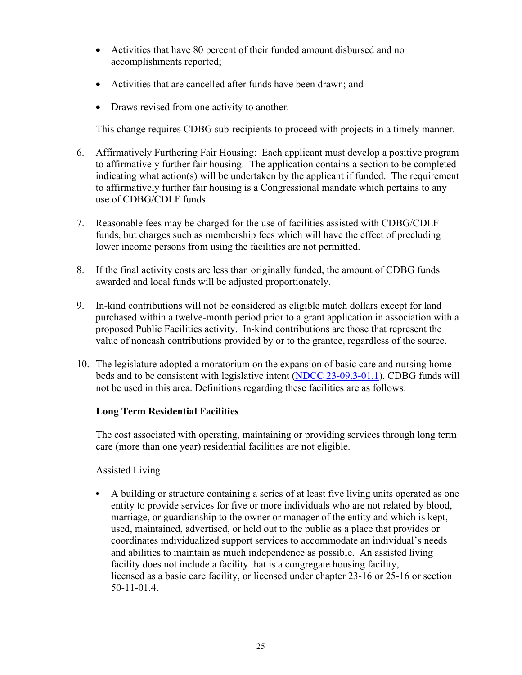- Activities that have 80 percent of their funded amount disbursed and no accomplishments reported;
- Activities that are cancelled after funds have been drawn; and
- Draws revised from one activity to another.

This change requires CDBG sub-recipients to proceed with projects in a timely manner.

- 6. Affirmatively Furthering Fair Housing: Each applicant must develop a positive program to affirmatively further fair housing. The application contains a section to be completed indicating what action(s) will be undertaken by the applicant if funded. The requirement to affirmatively further fair housing is a Congressional mandate which pertains to any use of CDBG/CDLF funds.
- 7. Reasonable fees may be charged for the use of facilities assisted with CDBG/CDLF funds, but charges such as membership fees which will have the effect of precluding lower income persons from using the facilities are not permitted.
- 8. If the final activity costs are less than originally funded, the amount of CDBG funds awarded and local funds will be adjusted proportionately.
- 9. In-kind contributions will not be considered as eligible match dollars except for land purchased within a twelve-month period prior to a grant application in association with a proposed Public Facilities activity. In-kind contributions are those that represent the value of noncash contributions provided by or to the grantee, regardless of the source.
- 10. The legislature adopted a moratorium on the expansion of basic care and nursing home beds and to be consistent with legislative intent [\(NDCC 23-09.3-01.1\)](https://www.legis.nd.gov/cencode/t23c09-3.pdf#nameddest=23-09p3-01p1). CDBG funds will not be used in this area. Definitions regarding these facilities are as follows:

# **Long Term Residential Facilities**

The cost associated with operating, maintaining or providing services through long term care (more than one year) residential facilities are not eligible.

# Assisted Living

• A building or structure containing a series of at least five living units operated as one entity to provide services for five or more individuals who are not related by blood, marriage, or guardianship to the owner or manager of the entity and which is kept, used, maintained, advertised, or held out to the public as a place that provides or coordinates individualized support services to accommodate an individual's needs and abilities to maintain as much independence as possible. An assisted living facility does not include a facility that is a congregate housing facility, licensed as a basic care facility, or licensed under chapter 23-16 or 25-16 or section 50-11-01.4.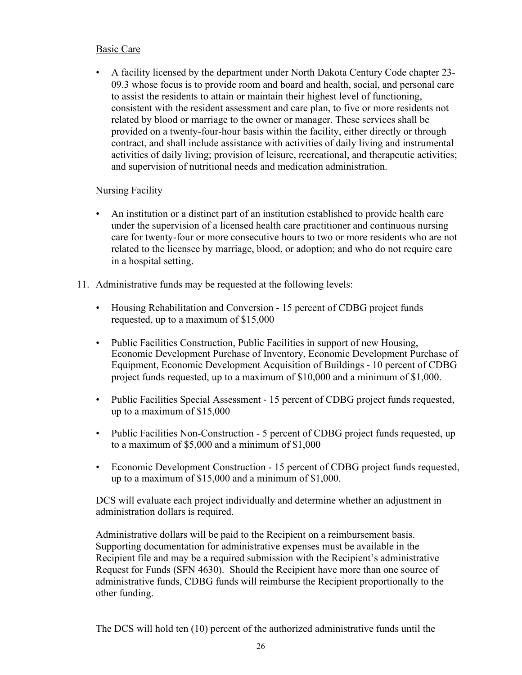# Basic Care

• A facility licensed by the department under North Dakota Century Code chapter 23- 09.3 whose focus is to provide room and board and health, social, and personal care to assist the residents to attain or maintain their highest level of functioning, consistent with the resident assessment and care plan, to five or more residents not related by blood or marriage to the owner or manager. These services shall be provided on a twenty-four-hour basis within the facility, either directly or through contract, and shall include assistance with activities of daily living and instrumental activities of daily living; provision of leisure, recreational, and therapeutic activities; and supervision of nutritional needs and medication administration.

#### Nursing Facility

- An institution or a distinct part of an institution established to provide health care under the supervision of a licensed health care practitioner and continuous nursing care for twenty-four or more consecutive hours to two or more residents who are not related to the licensee by marriage, blood, or adoption; and who do not require care in a hospital setting.
- 11. Administrative funds may be requested at the following levels:
	- Housing Rehabilitation and Conversion 15 percent of CDBG project funds requested, up to a maximum of \$15,000
	- Public Facilities Construction, Public Facilities in support of new Housing, Economic Development Purchase of Inventory, Economic Development Purchase of Equipment, Economic Development Acquisition of Buildings - 10 percent of CDBG project funds requested, up to a maximum of \$10,000 and a minimum of \$1,000.
	- Public Facilities Special Assessment 15 percent of CDBG project funds requested, up to a maximum of \$15,000
	- Public Facilities Non-Construction 5 percent of CDBG project funds requested, up to a maximum of \$5,000 and a minimum of \$1,000
	- Economic Development Construction 15 percent of CDBG project funds requested, up to a maximum of \$15,000 and a minimum of \$1,000.

DCS will evaluate each project individually and determine whether an adjustment in administration dollars is required.

Administrative dollars will be paid to the Recipient on a reimbursement basis. Supporting documentation for administrative expenses must be available in the Recipient file and may be a required submission with the Recipient's administrative Request for Funds (SFN 4630). Should the Recipient have more than one source of administrative funds, CDBG funds will reimburse the Recipient proportionally to the other funding.

The DCS will hold ten (10) percent of the authorized administrative funds until the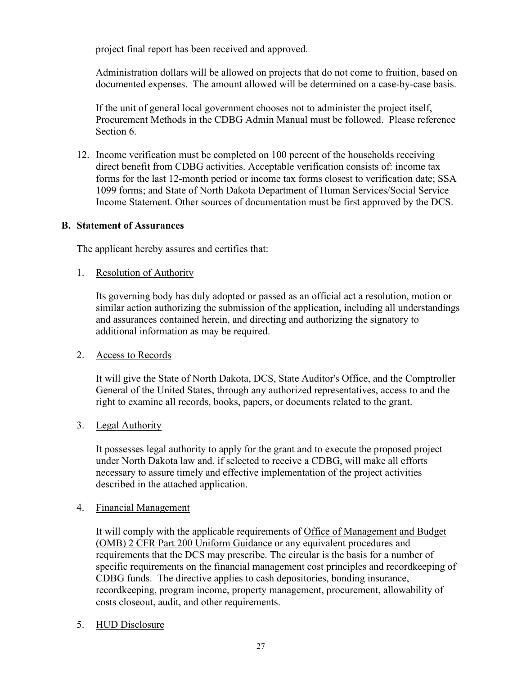project final report has been received and approved.

Administration dollars will be allowed on projects that do not come to fruition, based on documented expenses. The amount allowed will be determined on a case-by-case basis.

If the unit of general local government chooses not to administer the project itself, Procurement Methods in the CDBG Admin Manual must be followed. Please reference Section 6.

12. Income verification must be completed on 100 percent of the households receiving direct benefit from CDBG activities. Acceptable verification consists of: income tax forms for the last 12-month period or income tax forms closest to verification date; SSA 1099 forms; and State of North Dakota Department of Human Services/Social Service Income Statement. Other sources of documentation must be first approved by the DCS.

#### **B. Statement of Assurances**

The applicant hereby assures and certifies that:

1. Resolution of Authority

Its governing body has duly adopted or passed as an official act a resolution, motion or similar action authorizing the submission of the application, including all understandings and assurances contained herein, and directing and authorizing the signatory to additional information as may be required.

# 2. Access to Records

It will give the State of North Dakota, DCS, State Auditor's Office, and the Comptroller General of the United States, through any authorized representatives, access to and the right to examine all records, books, papers, or documents related to the grant.

3. Legal Authority

It possesses legal authority to apply for the grant and to execute the proposed project under North Dakota law and, if selected to receive a CDBG, will make all efforts necessary to assure timely and effective implementation of the project activities described in the attached application.

#### 4. Financial Management

It will comply with the applicable requirements of Office of Management and Budget (OMB) 2 CFR Part 200 Uniform Guidance or any equivalent procedures and requirements that the DCS may prescribe. The circular is the basis for a number of specific requirements on the financial management cost principles and recordkeeping of CDBG funds. The directive applies to cash depositories, bonding insurance, recordkeeping, program income, property management, procurement, allowability of costs closeout, audit, and other requirements.

# 5. HUD Disclosure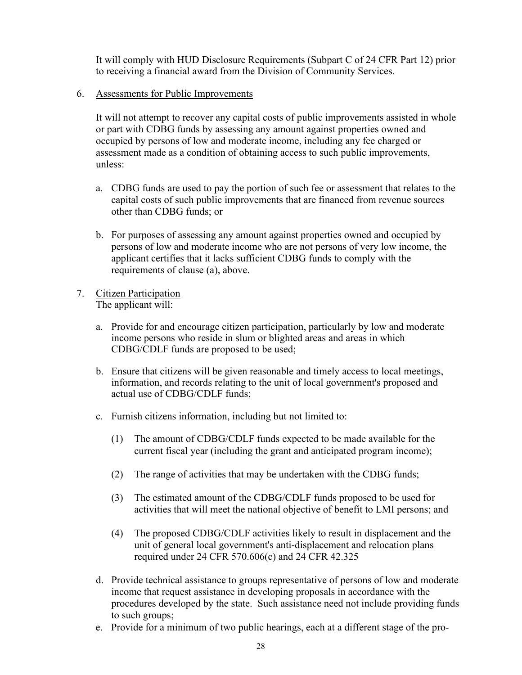It will comply with HUD Disclosure Requirements (Subpart C of 24 CFR Part 12) prior to receiving a financial award from the Division of Community Services.

#### 6. Assessments for Public Improvements

It will not attempt to recover any capital costs of public improvements assisted in whole or part with CDBG funds by assessing any amount against properties owned and occupied by persons of low and moderate income, including any fee charged or assessment made as a condition of obtaining access to such public improvements, unless:

- a. CDBG funds are used to pay the portion of such fee or assessment that relates to the capital costs of such public improvements that are financed from revenue sources other than CDBG funds; or
- b. For purposes of assessing any amount against properties owned and occupied by persons of low and moderate income who are not persons of very low income, the applicant certifies that it lacks sufficient CDBG funds to comply with the requirements of clause (a), above.
- 7. Citizen Participation The applicant will:
	- a. Provide for and encourage citizen participation, particularly by low and moderate income persons who reside in slum or blighted areas and areas in which CDBG/CDLF funds are proposed to be used;
	- b. Ensure that citizens will be given reasonable and timely access to local meetings, information, and records relating to the unit of local government's proposed and actual use of CDBG/CDLF funds;
	- c. Furnish citizens information, including but not limited to:
		- (1) The amount of CDBG/CDLF funds expected to be made available for the current fiscal year (including the grant and anticipated program income);
		- (2) The range of activities that may be undertaken with the CDBG funds;
		- (3) The estimated amount of the CDBG/CDLF funds proposed to be used for activities that will meet the national objective of benefit to LMI persons; and
		- (4) The proposed CDBG/CDLF activities likely to result in displacement and the unit of general local government's anti-displacement and relocation plans required under 24 CFR 570.606(c) and 24 CFR 42.325
	- d. Provide technical assistance to groups representative of persons of low and moderate income that request assistance in developing proposals in accordance with the procedures developed by the state. Such assistance need not include providing funds to such groups;
	- e. Provide for a minimum of two public hearings, each at a different stage of the pro-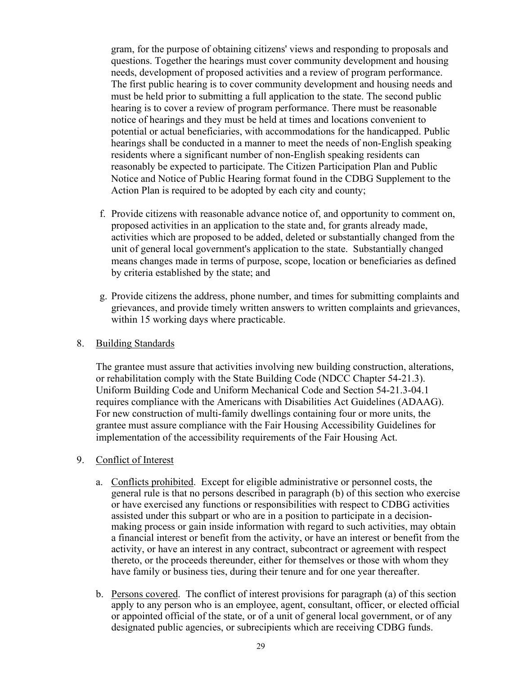gram, for the purpose of obtaining citizens' views and responding to proposals and questions. Together the hearings must cover community development and housing needs, development of proposed activities and a review of program performance. The first public hearing is to cover community development and housing needs and must be held prior to submitting a full application to the state. The second public hearing is to cover a review of program performance. There must be reasonable notice of hearings and they must be held at times and locations convenient to potential or actual beneficiaries, with accommodations for the handicapped. Public hearings shall be conducted in a manner to meet the needs of non-English speaking residents where a significant number of non-English speaking residents can reasonably be expected to participate. The Citizen Participation Plan and Public Notice and Notice of Public Hearing format found in the CDBG Supplement to the Action Plan is required to be adopted by each city and county;

- f. Provide citizens with reasonable advance notice of, and opportunity to comment on, proposed activities in an application to the state and, for grants already made, activities which are proposed to be added, deleted or substantially changed from the unit of general local government's application to the state. Substantially changed means changes made in terms of purpose, scope, location or beneficiaries as defined by criteria established by the state; and
- g. Provide citizens the address, phone number, and times for submitting complaints and grievances, and provide timely written answers to written complaints and grievances, within 15 working days where practicable.
- 8. Building Standards

The grantee must assure that activities involving new building construction, alterations, or rehabilitation comply with the State Building Code (NDCC Chapter 54-21.3). Uniform Building Code and Uniform Mechanical Code and Section 54-21.3-04.1 requires compliance with the Americans with Disabilities Act Guidelines (ADAAG). For new construction of multi-family dwellings containing four or more units, the grantee must assure compliance with the Fair Housing Accessibility Guidelines for implementation of the accessibility requirements of the Fair Housing Act.

- 9. Conflict of Interest
	- a. Conflicts prohibited. Except for eligible administrative or personnel costs, the general rule is that no persons described in paragraph (b) of this section who exercise or have exercised any functions or responsibilities with respect to CDBG activities assisted under this subpart or who are in a position to participate in a decisionmaking process or gain inside information with regard to such activities, may obtain a financial interest or benefit from the activity, or have an interest or benefit from the activity, or have an interest in any contract, subcontract or agreement with respect thereto, or the proceeds thereunder, either for themselves or those with whom they have family or business ties, during their tenure and for one year thereafter.
	- b. Persons covered. The conflict of interest provisions for paragraph (a) of this section apply to any person who is an employee, agent, consultant, officer, or elected official or appointed official of the state, or of a unit of general local government, or of any designated public agencies, or subrecipients which are receiving CDBG funds.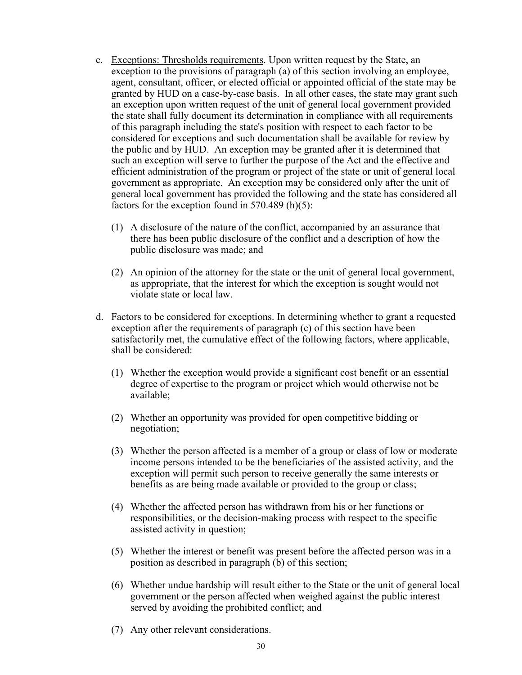- c. Exceptions: Thresholds requirements. Upon written request by the State, an exception to the provisions of paragraph (a) of this section involving an employee, agent, consultant, officer, or elected official or appointed official of the state may be granted by HUD on a case-by-case basis. In all other cases, the state may grant such an exception upon written request of the unit of general local government provided the state shall fully document its determination in compliance with all requirements of this paragraph including the state's position with respect to each factor to be considered for exceptions and such documentation shall be available for review by the public and by HUD. An exception may be granted after it is determined that such an exception will serve to further the purpose of the Act and the effective and efficient administration of the program or project of the state or unit of general local government as appropriate. An exception may be considered only after the unit of general local government has provided the following and the state has considered all factors for the exception found in  $570.489$  (h)(5):
	- (1) A disclosure of the nature of the conflict, accompanied by an assurance that there has been public disclosure of the conflict and a description of how the public disclosure was made; and
	- (2) An opinion of the attorney for the state or the unit of general local government, as appropriate, that the interest for which the exception is sought would not violate state or local law.
- d. Factors to be considered for exceptions. In determining whether to grant a requested exception after the requirements of paragraph (c) of this section have been satisfactorily met, the cumulative effect of the following factors, where applicable, shall be considered:
	- (1) Whether the exception would provide a significant cost benefit or an essential degree of expertise to the program or project which would otherwise not be available;
	- (2) Whether an opportunity was provided for open competitive bidding or negotiation;
	- (3) Whether the person affected is a member of a group or class of low or moderate income persons intended to be the beneficiaries of the assisted activity, and the exception will permit such person to receive generally the same interests or benefits as are being made available or provided to the group or class;
	- (4) Whether the affected person has withdrawn from his or her functions or responsibilities, or the decision-making process with respect to the specific assisted activity in question;
	- (5) Whether the interest or benefit was present before the affected person was in a position as described in paragraph (b) of this section;
	- (6) Whether undue hardship will result either to the State or the unit of general local government or the person affected when weighed against the public interest served by avoiding the prohibited conflict; and
	- (7) Any other relevant considerations.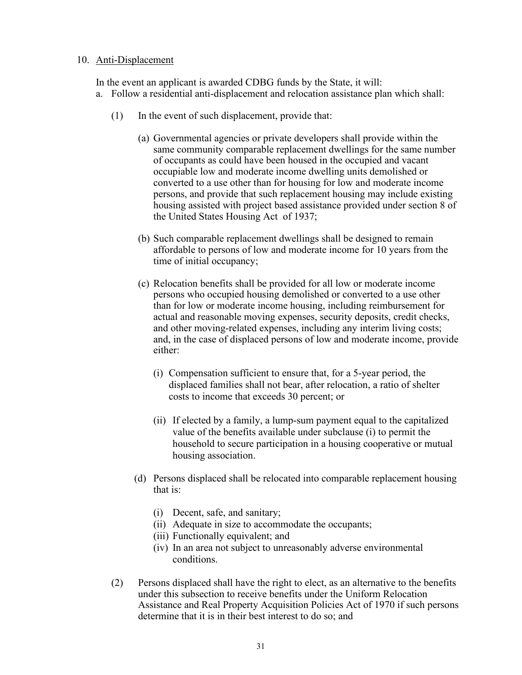#### 10. Anti-Displacement

In the event an applicant is awarded CDBG funds by the State, it will: a. Follow a residential anti-displacement and relocation assistance plan which shall:

- (1) In the event of such displacement, provide that:
	- (a) Governmental agencies or private developers shall provide within the same community comparable replacement dwellings for the same number of occupants as could have been housed in the occupied and vacant occupiable low and moderate income dwelling units demolished or converted to a use other than for housing for low and moderate income persons, and provide that such replacement housing may include existing housing assisted with project based assistance provided under section 8 of the United States Housing Act of 1937;
	- (b) Such comparable replacement dwellings shall be designed to remain affordable to persons of low and moderate income for 10 years from the time of initial occupancy;
	- (c) Relocation benefits shall be provided for all low or moderate income persons who occupied housing demolished or converted to a use other than for low or moderate income housing, including reimbursement for actual and reasonable moving expenses, security deposits, credit checks, and other moving-related expenses, including any interim living costs; and, in the case of displaced persons of low and moderate income, provide either:
		- (i) Compensation sufficient to ensure that, for a 5-year period, the displaced families shall not bear, after relocation, a ratio of shelter costs to income that exceeds 30 percent; or
		- (ii) If elected by a family, a lump-sum payment equal to the capitalized value of the benefits available under subclause (i) to permit the household to secure participation in a housing cooperative or mutual housing association.
	- (d) Persons displaced shall be relocated into comparable replacement housing that is:
		- (i) Decent, safe, and sanitary;
		- (ii) Adequate in size to accommodate the occupants;
		- (iii) Functionally equivalent; and
		- (iv) In an area not subject to unreasonably adverse environmental conditions.
- (2) Persons displaced shall have the right to elect, as an alternative to the benefits under this subsection to receive benefits under the Uniform Relocation Assistance and Real Property Acquisition Policies Act of 1970 if such persons determine that it is in their best interest to do so; and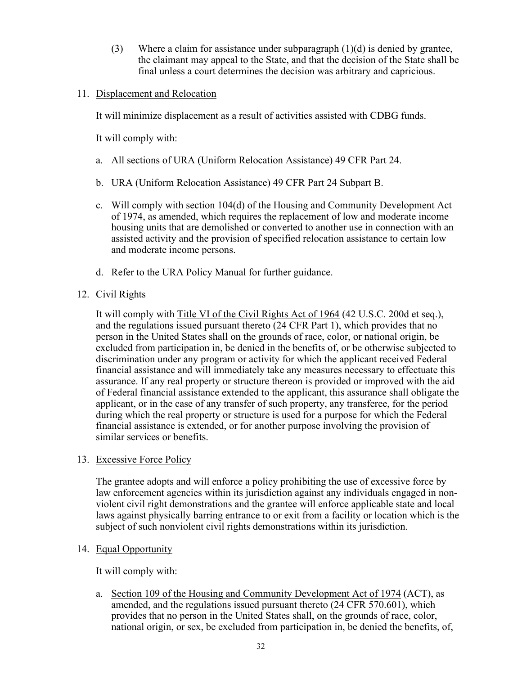(3) Where a claim for assistance under subparagraph  $(1)(d)$  is denied by grantee, the claimant may appeal to the State, and that the decision of the State shall be final unless a court determines the decision was arbitrary and capricious.

#### 11. Displacement and Relocation

It will minimize displacement as a result of activities assisted with CDBG funds.

It will comply with:

- a. All sections of URA (Uniform Relocation Assistance) 49 CFR Part 24.
- b. URA (Uniform Relocation Assistance) 49 CFR Part 24 Subpart B.
- c. Will comply with section 104(d) of the Housing and Community Development Act of 1974, as amended, which requires the replacement of low and moderate income housing units that are demolished or converted to another use in connection with an assisted activity and the provision of specified relocation assistance to certain low and moderate income persons.
- d. Refer to the URA Policy Manual for further guidance.

#### 12. Civil Rights

It will comply with Title VI of the Civil Rights Act of 1964 (42 U.S.C. 200d et seq.), and the regulations issued pursuant thereto (24 CFR Part 1), which provides that no person in the United States shall on the grounds of race, color, or national origin, be excluded from participation in, be denied in the benefits of, or be otherwise subjected to discrimination under any program or activity for which the applicant received Federal financial assistance and will immediately take any measures necessary to effectuate this assurance. If any real property or structure thereon is provided or improved with the aid of Federal financial assistance extended to the applicant, this assurance shall obligate the applicant, or in the case of any transfer of such property, any transferee, for the period during which the real property or structure is used for a purpose for which the Federal financial assistance is extended, or for another purpose involving the provision of similar services or benefits.

#### 13. Excessive Force Policy

The grantee adopts and will enforce a policy prohibiting the use of excessive force by law enforcement agencies within its jurisdiction against any individuals engaged in nonviolent civil right demonstrations and the grantee will enforce applicable state and local laws against physically barring entrance to or exit from a facility or location which is the subject of such nonviolent civil rights demonstrations within its jurisdiction.

#### 14. Equal Opportunity

It will comply with:

a. Section 109 of the Housing and Community Development Act of 1974 (ACT), as amended, and the regulations issued pursuant thereto (24 CFR 570.601), which provides that no person in the United States shall, on the grounds of race, color, national origin, or sex, be excluded from participation in, be denied the benefits, of,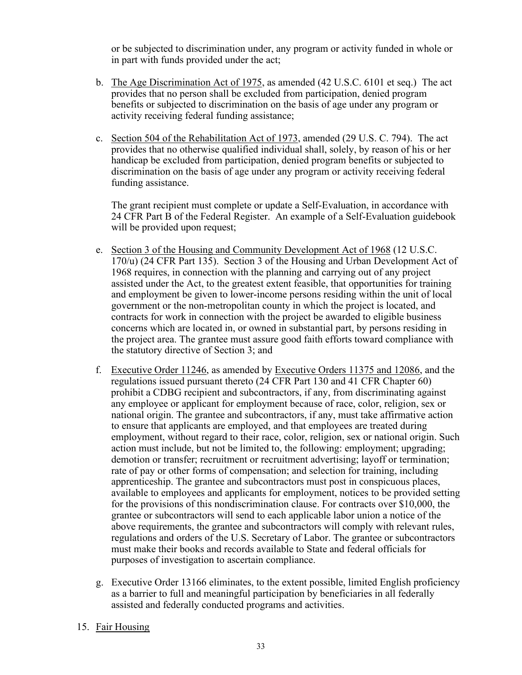or be subjected to discrimination under, any program or activity funded in whole or in part with funds provided under the act;

- b. The Age Discrimination Act of 1975, as amended (42 U.S.C. 6101 et seq.) The act provides that no person shall be excluded from participation, denied program benefits or subjected to discrimination on the basis of age under any program or activity receiving federal funding assistance;
- c. Section 504 of the Rehabilitation Act of 1973, amended (29 U.S. C. 794). The act provides that no otherwise qualified individual shall, solely, by reason of his or her handicap be excluded from participation, denied program benefits or subjected to discrimination on the basis of age under any program or activity receiving federal funding assistance.

The grant recipient must complete or update a Self-Evaluation, in accordance with 24 CFR Part B of the Federal Register. An example of a Self-Evaluation guidebook will be provided upon request;

- e. Section 3 of the Housing and Community Development Act of 1968 (12 U.S.C. 170/u) (24 CFR Part 135). Section 3 of the Housing and Urban Development Act of 1968 requires, in connection with the planning and carrying out of any project assisted under the Act, to the greatest extent feasible, that opportunities for training and employment be given to lower-income persons residing within the unit of local government or the non-metropolitan county in which the project is located, and contracts for work in connection with the project be awarded to eligible business concerns which are located in, or owned in substantial part, by persons residing in the project area. The grantee must assure good faith efforts toward compliance with the statutory directive of Section 3; and
- f. Executive Order 11246, as amended by Executive Orders 11375 and 12086, and the regulations issued pursuant thereto (24 CFR Part 130 and 41 CFR Chapter 60) prohibit a CDBG recipient and subcontractors, if any, from discriminating against any employee or applicant for employment because of race, color, religion, sex or national origin. The grantee and subcontractors, if any, must take affirmative action to ensure that applicants are employed, and that employees are treated during employment, without regard to their race, color, religion, sex or national origin. Such action must include, but not be limited to, the following: employment; upgrading; demotion or transfer; recruitment or recruitment advertising; layoff or termination; rate of pay or other forms of compensation; and selection for training, including apprenticeship. The grantee and subcontractors must post in conspicuous places, available to employees and applicants for employment, notices to be provided setting for the provisions of this nondiscrimination clause. For contracts over \$10,000, the grantee or subcontractors will send to each applicable labor union a notice of the above requirements, the grantee and subcontractors will comply with relevant rules, regulations and orders of the U.S. Secretary of Labor. The grantee or subcontractors must make their books and records available to State and federal officials for purposes of investigation to ascertain compliance.
- g. Executive Order 13166 eliminates, to the extent possible, limited English proficiency as a barrier to full and meaningful participation by beneficiaries in all federally assisted and federally conducted programs and activities.

#### 15. Fair Housing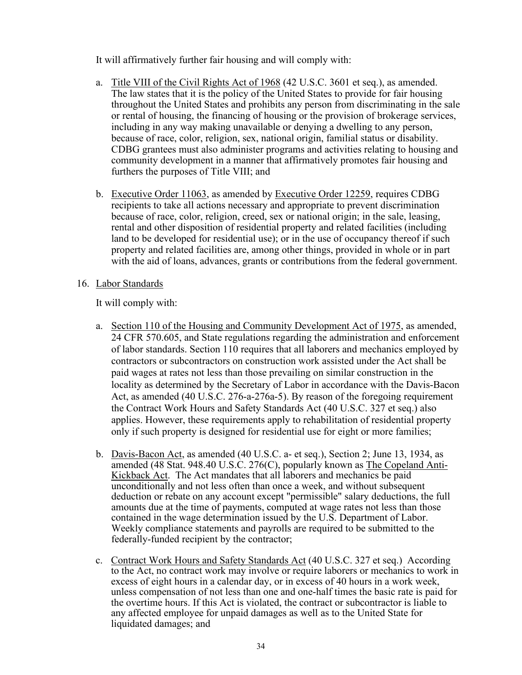It will affirmatively further fair housing and will comply with:

- a. Title VIII of the Civil Rights Act of 1968 (42 U.S.C. 3601 et seq.), as amended. The law states that it is the policy of the United States to provide for fair housing throughout the United States and prohibits any person from discriminating in the sale or rental of housing, the financing of housing or the provision of brokerage services, including in any way making unavailable or denying a dwelling to any person, because of race, color, religion, sex, national origin, familial status or disability. CDBG grantees must also administer programs and activities relating to housing and community development in a manner that affirmatively promotes fair housing and furthers the purposes of Title VIII; and
- b. Executive Order 11063, as amended by Executive Order 12259, requires CDBG recipients to take all actions necessary and appropriate to prevent discrimination because of race, color, religion, creed, sex or national origin; in the sale, leasing, rental and other disposition of residential property and related facilities (including land to be developed for residential use); or in the use of occupancy thereof if such property and related facilities are, among other things, provided in whole or in part with the aid of loans, advances, grants or contributions from the federal government.
- 16. Labor Standards

It will comply with:

- a. Section 110 of the Housing and Community Development Act of 1975, as amended, 24 CFR 570.605, and State regulations regarding the administration and enforcement of labor standards. Section 110 requires that all laborers and mechanics employed by contractors or subcontractors on construction work assisted under the Act shall be paid wages at rates not less than those prevailing on similar construction in the locality as determined by the Secretary of Labor in accordance with the Davis-Bacon Act, as amended (40 U.S.C. 276-a-276a-5). By reason of the foregoing requirement the Contract Work Hours and Safety Standards Act (40 U.S.C. 327 et seq.) also applies. However, these requirements apply to rehabilitation of residential property only if such property is designed for residential use for eight or more families;
- b. Davis-Bacon Act, as amended (40 U.S.C. a- et seq.), Section 2; June 13, 1934, as amended (48 Stat. 948.40 U.S.C. 276(C), popularly known as The Copeland Anti-Kickback Act. The Act mandates that all laborers and mechanics be paid unconditionally and not less often than once a week, and without subsequent deduction or rebate on any account except "permissible" salary deductions, the full amounts due at the time of payments, computed at wage rates not less than those contained in the wage determination issued by the U.S. Department of Labor. Weekly compliance statements and payrolls are required to be submitted to the federally-funded recipient by the contractor;
- c. Contract Work Hours and Safety Standards Act (40 U.S.C. 327 et seq.) According to the Act, no contract work may involve or require laborers or mechanics to work in excess of eight hours in a calendar day, or in excess of 40 hours in a work week, unless compensation of not less than one and one-half times the basic rate is paid for the overtime hours. If this Act is violated, the contract or subcontractor is liable to any affected employee for unpaid damages as well as to the United State for liquidated damages; and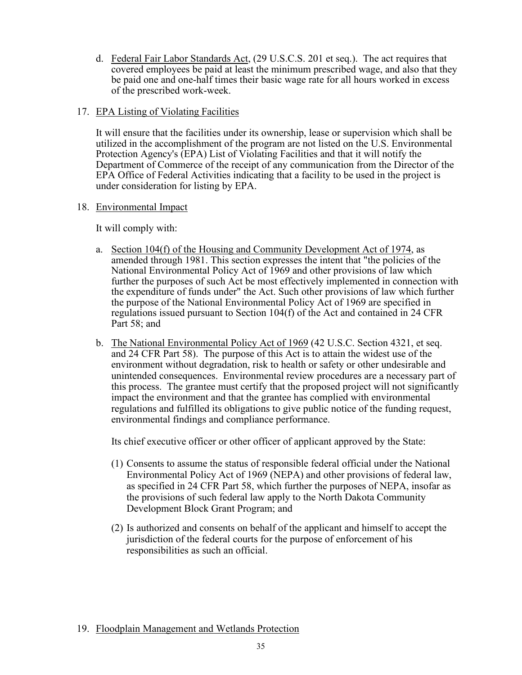d. Federal Fair Labor Standards Act, (29 U.S.C.S. 201 et seq.). The act requires that covered employees be paid at least the minimum prescribed wage, and also that they be paid one and one-half times their basic wage rate for all hours worked in excess of the prescribed work-week.

#### 17. EPA Listing of Violating Facilities

It will ensure that the facilities under its ownership, lease or supervision which shall be utilized in the accomplishment of the program are not listed on the U.S. Environmental Protection Agency's (EPA) List of Violating Facilities and that it will notify the Department of Commerce of the receipt of any communication from the Director of the EPA Office of Federal Activities indicating that a facility to be used in the project is under consideration for listing by EPA.

#### 18. Environmental Impact

It will comply with:

- a. Section 104(f) of the Housing and Community Development Act of 1974, as amended through 1981. This section expresses the intent that "the policies of the National Environmental Policy Act of 1969 and other provisions of law which further the purposes of such Act be most effectively implemented in connection with the expenditure of funds under" the Act. Such other provisions of law which further the purpose of the National Environmental Policy Act of 1969 are specified in regulations issued pursuant to Section 104(f) of the Act and contained in 24 CFR Part 58; and
- b. The National Environmental Policy Act of 1969 (42 U.S.C. Section 4321, et seq. and 24 CFR Part 58). The purpose of this Act is to attain the widest use of the environment without degradation, risk to health or safety or other undesirable and unintended consequences. Environmental review procedures are a necessary part of this process. The grantee must certify that the proposed project will not significantly impact the environment and that the grantee has complied with environmental regulations and fulfilled its obligations to give public notice of the funding request, environmental findings and compliance performance.

Its chief executive officer or other officer of applicant approved by the State:

- (1) Consents to assume the status of responsible federal official under the National Environmental Policy Act of 1969 (NEPA) and other provisions of federal law, as specified in 24 CFR Part 58, which further the purposes of NEPA, insofar as the provisions of such federal law apply to the North Dakota Community Development Block Grant Program; and
- (2) Is authorized and consents on behalf of the applicant and himself to accept the jurisdiction of the federal courts for the purpose of enforcement of his responsibilities as such an official.

# 19. Floodplain Management and Wetlands Protection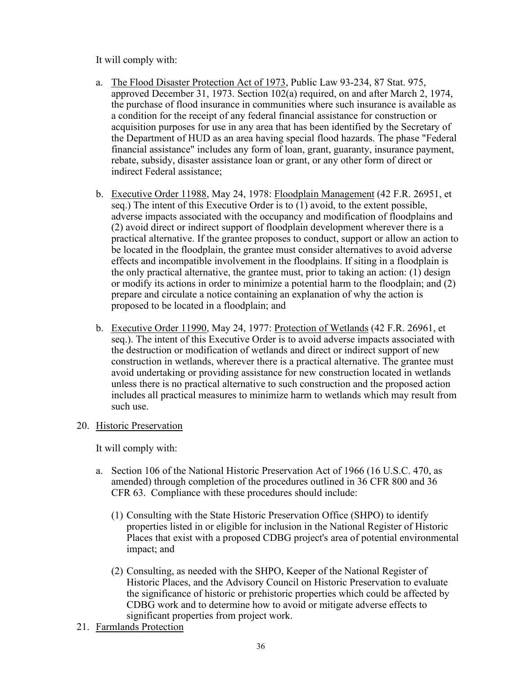It will comply with:

- a. The Flood Disaster Protection Act of 1973, Public Law 93-234, 87 Stat. 975, approved December 31, 1973. Section 102(a) required, on and after March 2, 1974, the purchase of flood insurance in communities where such insurance is available as a condition for the receipt of any federal financial assistance for construction or acquisition purposes for use in any area that has been identified by the Secretary of the Department of HUD as an area having special flood hazards. The phase "Federal financial assistance" includes any form of loan, grant, guaranty, insurance payment, rebate, subsidy, disaster assistance loan or grant, or any other form of direct or indirect Federal assistance;
- b. Executive Order 11988, May 24, 1978: Floodplain Management (42 F.R. 26951, et seq.) The intent of this Executive Order is to (1) avoid, to the extent possible, adverse impacts associated with the occupancy and modification of floodplains and (2) avoid direct or indirect support of floodplain development wherever there is a practical alternative. If the grantee proposes to conduct, support or allow an action to be located in the floodplain, the grantee must consider alternatives to avoid adverse effects and incompatible involvement in the floodplains. If siting in a floodplain is the only practical alternative, the grantee must, prior to taking an action: (1) design or modify its actions in order to minimize a potential harm to the floodplain; and (2) prepare and circulate a notice containing an explanation of why the action is proposed to be located in a floodplain; and
- b. Executive Order 11990, May 24, 1977: Protection of Wetlands (42 F.R. 26961, et seq.). The intent of this Executive Order is to avoid adverse impacts associated with the destruction or modification of wetlands and direct or indirect support of new construction in wetlands, wherever there is a practical alternative. The grantee must avoid undertaking or providing assistance for new construction located in wetlands unless there is no practical alternative to such construction and the proposed action includes all practical measures to minimize harm to wetlands which may result from such use.

#### 20. Historic Preservation

It will comply with:

- a. Section 106 of the National Historic Preservation Act of 1966 (16 U.S.C. 470, as amended) through completion of the procedures outlined in 36 CFR 800 and 36 CFR 63. Compliance with these procedures should include:
	- (1) Consulting with the State Historic Preservation Office (SHPO) to identify properties listed in or eligible for inclusion in the National Register of Historic Places that exist with a proposed CDBG project's area of potential environmental impact; and
	- (2) Consulting, as needed with the SHPO, Keeper of the National Register of Historic Places, and the Advisory Council on Historic Preservation to evaluate the significance of historic or prehistoric properties which could be affected by CDBG work and to determine how to avoid or mitigate adverse effects to significant properties from project work.
- 21. Farmlands Protection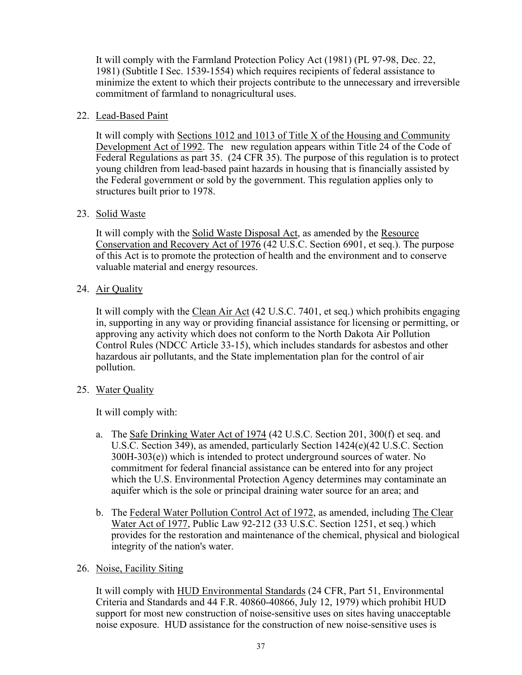It will comply with the Farmland Protection Policy Act (1981) (PL 97-98, Dec. 22, 1981) (Subtitle I Sec. 1539-1554) which requires recipients of federal assistance to minimize the extent to which their projects contribute to the unnecessary and irreversible commitment of farmland to nonagricultural uses.

#### 22. Lead-Based Paint

It will comply with Sections 1012 and 1013 of Title X of the Housing and Community Development Act of 1992. The new regulation appears within Title 24 of the Code of Federal Regulations as part 35. (24 CFR 35). The purpose of this regulation is to protect young children from lead-based paint hazards in housing that is financially assisted by the Federal government or sold by the government. This regulation applies only to structures built prior to 1978.

# 23. Solid Waste

It will comply with the Solid Waste Disposal Act, as amended by the Resource Conservation and Recovery Act of 1976 (42 U.S.C. Section 6901, et seq.). The purpose of this Act is to promote the protection of health and the environment and to conserve valuable material and energy resources.

# 24. Air Quality

It will comply with the Clean Air Act (42 U.S.C. 7401, et seq.) which prohibits engaging in, supporting in any way or providing financial assistance for licensing or permitting, or approving any activity which does not conform to the North Dakota Air Pollution Control Rules (NDCC Article 33-15), which includes standards for asbestos and other hazardous air pollutants, and the State implementation plan for the control of air pollution.

# 25. Water Quality

It will comply with:

- a. The Safe Drinking Water Act of 1974 (42 U.S.C. Section 201, 300(f) et seq. and U.S.C. Section 349), as amended, particularly Section 1424(e)(42 U.S.C. Section 300H-303(e)) which is intended to protect underground sources of water. No commitment for federal financial assistance can be entered into for any project which the U.S. Environmental Protection Agency determines may contaminate an aquifer which is the sole or principal draining water source for an area; and
- b. The Federal Water Pollution Control Act of 1972, as amended, including The Clear Water Act of 1977, Public Law 92-212 (33 U.S.C. Section 1251, et seq.) which provides for the restoration and maintenance of the chemical, physical and biological integrity of the nation's water.

#### 26. Noise, Facility Siting

It will comply with HUD Environmental Standards (24 CFR, Part 51, Environmental Criteria and Standards and 44 F.R. 40860-40866, July 12, 1979) which prohibit HUD support for most new construction of noise-sensitive uses on sites having unacceptable noise exposure. HUD assistance for the construction of new noise-sensitive uses is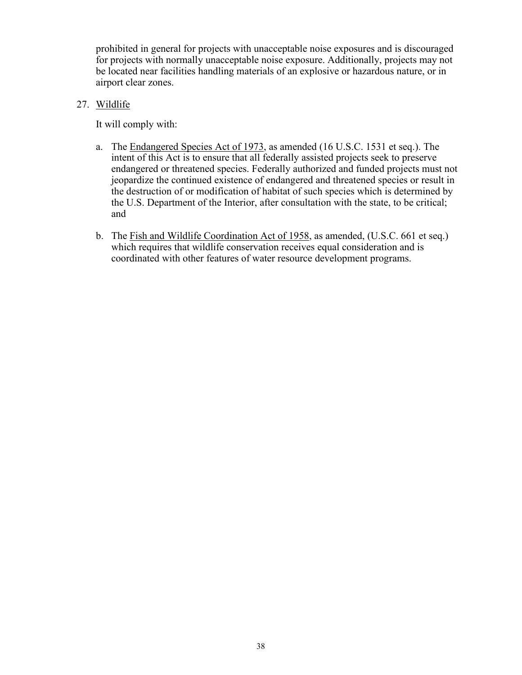prohibited in general for projects with unacceptable noise exposures and is discouraged for projects with normally unacceptable noise exposure. Additionally, projects may not be located near facilities handling materials of an explosive or hazardous nature, or in airport clear zones.

27. Wildlife

It will comply with:

- a. The Endangered Species Act of 1973, as amended (16 U.S.C. 1531 et seq.). The intent of this Act is to ensure that all federally assisted projects seek to preserve endangered or threatened species. Federally authorized and funded projects must not jeopardize the continued existence of endangered and threatened species or result in the destruction of or modification of habitat of such species which is determined by the U.S. Department of the Interior, after consultation with the state, to be critical; and
- b. The Fish and Wildlife Coordination Act of 1958, as amended, (U.S.C. 661 et seq.) which requires that wildlife conservation receives equal consideration and is coordinated with other features of water resource development programs.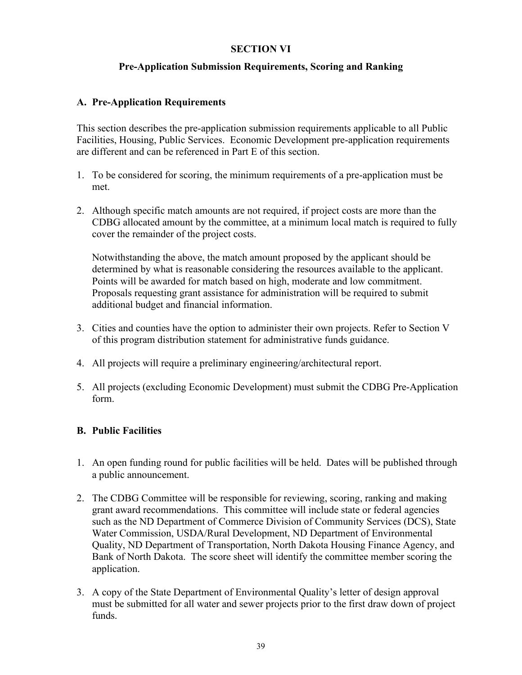#### **SECTION VI**

#### **Pre-Application Submission Requirements, Scoring and Ranking**

#### **A. Pre-Application Requirements**

This section describes the pre-application submission requirements applicable to all Public Facilities, Housing, Public Services. Economic Development pre-application requirements are different and can be referenced in Part E of this section.

- 1. To be considered for scoring, the minimum requirements of a pre-application must be met.
- 2. Although specific match amounts are not required, if project costs are more than the CDBG allocated amount by the committee, at a minimum local match is required to fully cover the remainder of the project costs.

Notwithstanding the above, the match amount proposed by the applicant should be determined by what is reasonable considering the resources available to the applicant. Points will be awarded for match based on high, moderate and low commitment. Proposals requesting grant assistance for administration will be required to submit additional budget and financial information.

- 3. Cities and counties have the option to administer their own projects. Refer to Section V of this program distribution statement for administrative funds guidance.
- 4. All projects will require a preliminary engineering/architectural report.
- 5. All projects (excluding Economic Development) must submit the CDBG Pre-Application form.

# **B. Public Facilities**

- 1. An open funding round for public facilities will be held. Dates will be published through a public announcement.
- 2. The CDBG Committee will be responsible for reviewing, scoring, ranking and making grant award recommendations. This committee will include state or federal agencies such as the ND Department of Commerce Division of Community Services (DCS), State Water Commission, USDA/Rural Development, ND Department of Environmental Quality, ND Department of Transportation, North Dakota Housing Finance Agency, and Bank of North Dakota. The score sheet will identify the committee member scoring the application.
- 3. A copy of the State Department of Environmental Quality's letter of design approval must be submitted for all water and sewer projects prior to the first draw down of project funds.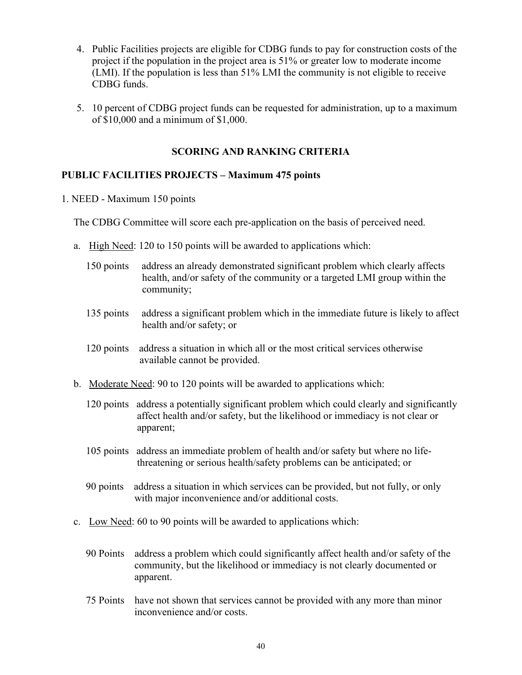- 4. Public Facilities projects are eligible for CDBG funds to pay for construction costs of the project if the population in the project area is 51% or greater low to moderate income (LMI). If the population is less than 51% LMI the community is not eligible to receive CDBG funds.
- 5. 10 percent of CDBG project funds can be requested for administration, up to a maximum of \$10,000 and a minimum of \$1,000.

#### **SCORING AND RANKING CRITERIA**

#### **PUBLIC FACILITIES PROJECTS – Maximum 475 points**

1. NEED - Maximum 150 points

The CDBG Committee will score each pre-application on the basis of perceived need.

- a. High Need: 120 to 150 points will be awarded to applications which:
	- 150 points address an already demonstrated significant problem which clearly affects health, and/or safety of the community or a targeted LMI group within the community;
	- 135 points address a significant problem which in the immediate future is likely to affect health and/or safety; or
	- 120 points address a situation in which all or the most critical services otherwise available cannot be provided.
- b. Moderate Need: 90 to 120 points will be awarded to applications which:
	- 120 points address a potentially significant problem which could clearly and significantly affect health and/or safety, but the likelihood or immediacy is not clear or apparent;
	- 105 points address an immediate problem of health and/or safety but where no life threatening or serious health/safety problems can be anticipated; or
	- 90 points address a situation in which services can be provided, but not fully, or only with major inconvenience and/or additional costs.
- c. Low Need: 60 to 90 points will be awarded to applications which:
	- 90 Points address a problem which could significantly affect health and/or safety of the community, but the likelihood or immediacy is not clearly documented or apparent.
	- 75 Points have not shown that services cannot be provided with any more than minor inconvenience and/or costs.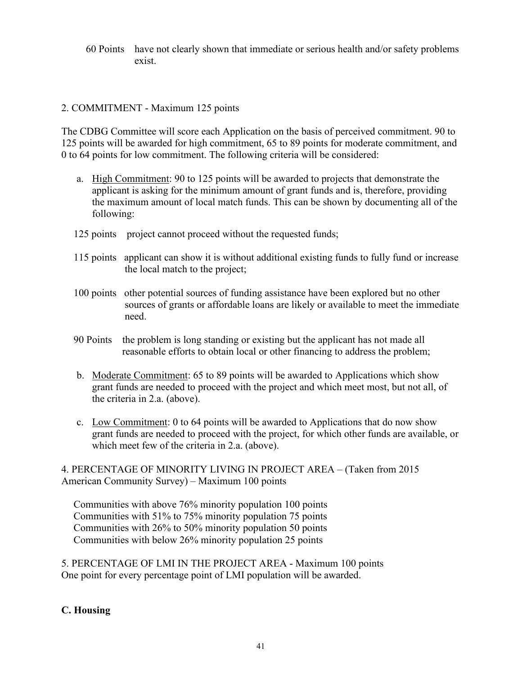60 Points have not clearly shown that immediate or serious health and/or safety problems exist.

# 2. COMMITMENT - Maximum 125 points

The CDBG Committee will score each Application on the basis of perceived commitment. 90 to 125 points will be awarded for high commitment, 65 to 89 points for moderate commitment, and 0 to 64 points for low commitment. The following criteria will be considered:

- a. High Commitment: 90 to 125 points will be awarded to projects that demonstrate the applicant is asking for the minimum amount of grant funds and is, therefore, providing the maximum amount of local match funds. This can be shown by documenting all of the following:
- 125 points project cannot proceed without the requested funds;
- 115 points applicant can show it is without additional existing funds to fully fund or increase the local match to the project;
- 100 points other potential sources of funding assistance have been explored but no other sources of grants or affordable loans are likely or available to meet the immediate need.
- 90 Points the problem is long standing or existing but the applicant has not made all reasonable efforts to obtain local or other financing to address the problem;
- b. Moderate Commitment: 65 to 89 points will be awarded to Applications which show grant funds are needed to proceed with the project and which meet most, but not all, of the criteria in 2.a. (above).
- c. Low Commitment: 0 to 64 points will be awarded to Applications that do now show grant funds are needed to proceed with the project, for which other funds are available, or which meet few of the criteria in 2.a. (above).

4. PERCENTAGE OF MINORITY LIVING IN PROJECT AREA – (Taken from 2015 American Community Survey) – Maximum 100 points

Communities with above 76% minority population 100 points Communities with 51% to 75% minority population 75 points Communities with 26% to 50% minority population 50 points Communities with below 26% minority population 25 points

5. PERCENTAGE OF LMI IN THE PROJECT AREA - Maximum 100 points One point for every percentage point of LMI population will be awarded.

# **C. Housing**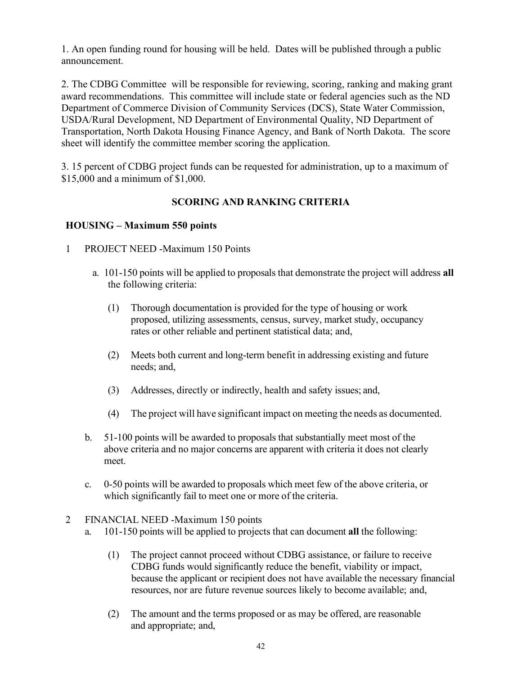1. An open funding round for housing will be held. Dates will be published through a public announcement.

2. The CDBG Committee will be responsible for reviewing, scoring, ranking and making grant award recommendations. This committee will include state or federal agencies such as the ND Department of Commerce Division of Community Services (DCS), State Water Commission, USDA/Rural Development, ND Department of Environmental Quality, ND Department of Transportation, North Dakota Housing Finance Agency, and Bank of North Dakota. The score sheet will identify the committee member scoring the application.

3. 15 percent of CDBG project funds can be requested for administration, up to a maximum of \$15,000 and a minimum of \$1,000.

# **SCORING AND RANKING CRITERIA**

# **HOUSING – Maximum 550 points**

- 1. PROJECT NEED -Maximum 150 Points
	- a. 101-150 points will be applied to proposals that demonstrate the project will address **all** the following criteria:
		- (1) Thorough documentation is provided for the type of housing or work proposed, utilizing assessments, census, survey, market study, occupancy rates or other reliable and pertinent statistical data; and,
		- (2) Meets both current and long-term benefit in addressing existing and future needs; and,
		- (3) Addresses, directly or indirectly, health and safety issues; and,
		- (4) The project will have significant impact on meeting the needs as documented.
	- b. 51-100 points will be awarded to proposals that substantially meet most of the above criteria and no major concerns are apparent with criteria it does not clearly meet.
	- c. 0-50 points will be awarded to proposals which meet few of the above criteria, or which significantly fail to meet one or more of the criteria.
- 2. FINANCIAL NEED -Maximum 150 points
	- a. 101-150 points will be applied to projects that can document **all** the following:
		- (1) The project cannot proceed without CDBG assistance, or failure to receive CDBG funds would significantly reduce the benefit, viability or impact, because the applicant or recipient does not have available the necessary financial resources, nor are future revenue sources likely to become available; and,
		- (2) The amount and the terms proposed or as may be offered, are reasonable and appropriate; and,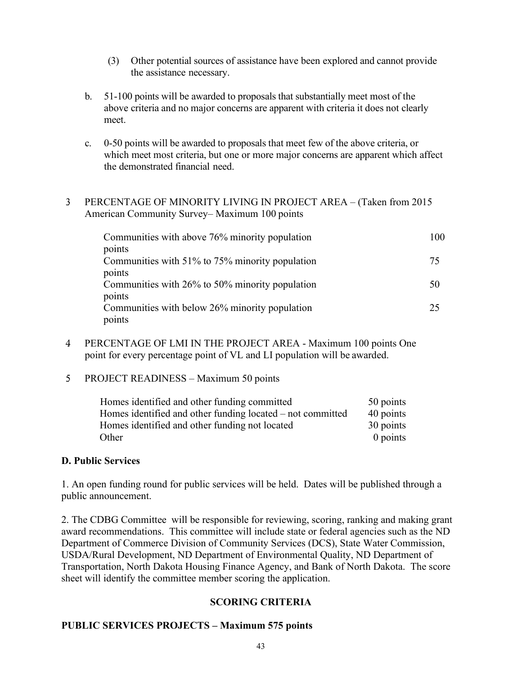- (3) Other potential sources of assistance have been explored and cannot provide the assistance necessary.
- b. 51-100 points will be awarded to proposals that substantially meet most of the above criteria and no major concerns are apparent with criteria it does not clearly meet.
- c. 0-50 points will be awarded to proposals that meet few of the above criteria, or which meet most criteria, but one or more major concerns are apparent which affect the demonstrated financial need.

#### 3. PERCENTAGE OF MINORITY LIVING IN PROJECT AREA – (Taken from 2015 American Community Survey– Maximum 100 points

| Communities with above 76% minority population  | 100 |
|-------------------------------------------------|-----|
| points                                          |     |
| Communities with 51% to 75% minority population | 75  |
| points                                          |     |
| Communities with 26% to 50% minority population | 50  |
| points                                          |     |
| Communities with below 26% minority population  | 25  |
| points                                          |     |

- 4. PERCENTAGE OF LMI IN THE PROJECT AREA Maximum 100 points One point for every percentage point of VL and LI population will be awarded.
- 5. PROJECT READINESS Maximum 50 points

| Homes identified and other funding committed               | 50 points  |
|------------------------------------------------------------|------------|
| Homes identified and other funding located – not committed | 40 points  |
| Homes identified and other funding not located             | 30 points  |
| Other                                                      | $0$ points |

#### **D. Public Services**

1. An open funding round for public services will be held. Dates will be published through a public announcement.

2. The CDBG Committee will be responsible for reviewing, scoring, ranking and making grant award recommendations. This committee will include state or federal agencies such as the ND Department of Commerce Division of Community Services (DCS), State Water Commission, USDA/Rural Development, ND Department of Environmental Quality, ND Department of Transportation, North Dakota Housing Finance Agency, and Bank of North Dakota. The score sheet will identify the committee member scoring the application.

# **SCORING CRITERIA**

# **PUBLIC SERVICES PROJECTS – Maximum 575 points**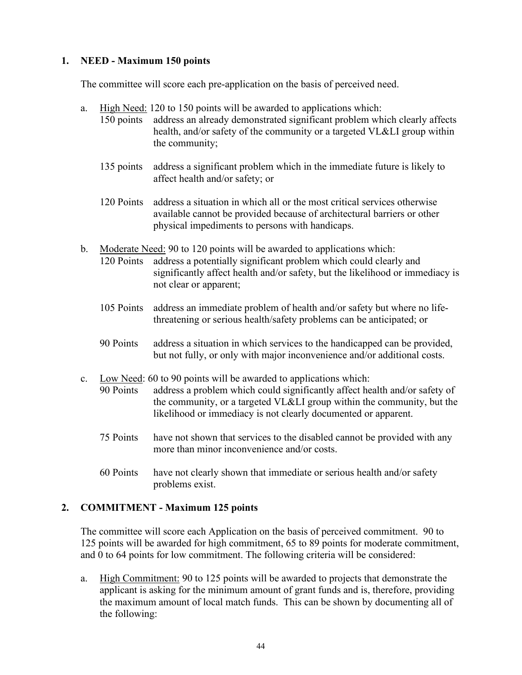# **1. NEED - Maximum 150 points**

The committee will score each pre-application on the basis of perceived need.

- a. High Need: 120 to 150 points will be awarded to applications which:
	- 150 points address an already demonstrated significant problem which clearly affects health, and/or safety of the community or a targeted VL&LI group within the community;
		- 135 points address a significant problem which in the immediate future is likely to affect health and/or safety; or
		- 120 Points address a situation in which all or the most critical services otherwise available cannot be provided because of architectural barriers or other physical impediments to persons with handicaps.
- b. Moderate Need: 90 to 120 points will be awarded to applications which: 120 Points address a potentially significant problem which could clearly and significantly affect health and/or safety, but the likelihood or immediacy is not clear or apparent;
	- 105 Points address an immediate problem of health and/or safety but where no lifethreatening or serious health/safety problems can be anticipated; or
	- 90 Points address a situation in which services to the handicapped can be provided, but not fully, or only with major inconvenience and/or additional costs.
- c. Low Need: 60 to 90 points will be awarded to applications which: 90 Points address a problem which could significantly affect health and/or safety of the community, or a targeted VL&LI group within the community, but the likelihood or immediacy is not clearly documented or apparent.
	- 75 Points have not shown that services to the disabled cannot be provided with any more than minor inconvenience and/or costs.
	- 60 Points have not clearly shown that immediate or serious health and/or safety problems exist.

# **2. COMMITMENT - Maximum 125 points**

The committee will score each Application on the basis of perceived commitment. 90 to 125 points will be awarded for high commitment, 65 to 89 points for moderate commitment, and 0 to 64 points for low commitment. The following criteria will be considered:

a. High Commitment: 90 to 125 points will be awarded to projects that demonstrate the applicant is asking for the minimum amount of grant funds and is, therefore, providing the maximum amount of local match funds. This can be shown by documenting all of the following: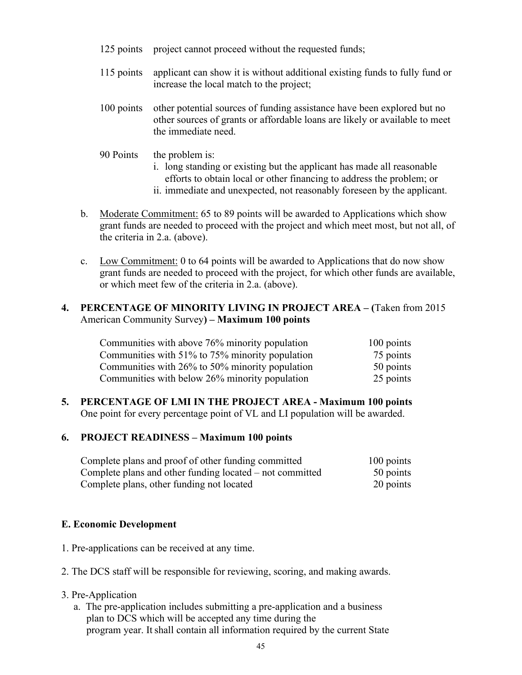- 125 points project cannot proceed without the requested funds;
- 115 points applicant can show it is without additional existing funds to fully fund or increase the local match to the project;

100 points other potential sources of funding assistance have been explored but no other sources of grants or affordable loans are likely or available to meet the immediate need.

- 90 Points the problem is:
	- i. long standing or existing but the applicant has made all reasonable efforts to obtain local or other financing to address the problem; or
	- ii. immediate and unexpected, not reasonably foreseen by the applicant.
- b. Moderate Commitment: 65 to 89 points will be awarded to Applications which show grant funds are needed to proceed with the project and which meet most, but not all, of the criteria in 2.a. (above).
- c. Low Commitment: 0 to 64 points will be awarded to Applications that do now show grant funds are needed to proceed with the project, for which other funds are available, or which meet few of the criteria in 2.a. (above).

#### **4. PERCENTAGE OF MINORITY LIVING IN PROJECT AREA – (**Taken from 2015 American Community Survey**) – Maximum 100 points**

| Communities with above 76% minority population  | $100$ points |
|-------------------------------------------------|--------------|
| Communities with 51% to 75% minority population | 75 points    |
| Communities with 26% to 50% minority population | 50 points    |
| Communities with below 26% minority population  | 25 points    |

**5. PERCENTAGE OF LMI IN THE PROJECT AREA - Maximum 100 points** One point for every percentage point of VL and LI population will be awarded.

#### **6. PROJECT READINESS – Maximum 100 points**

| Complete plans and proof of other funding committed      | 100 points |
|----------------------------------------------------------|------------|
| Complete plans and other funding located – not committed | 50 points  |
| Complete plans, other funding not located                | 20 points  |

# **E. Economic Development**

- 1. Pre-applications can be received at any time.
- 2. The DCS staff will be responsible for reviewing, scoring, and making awards.
- 3. Pre-Application
	- a. The pre-application includes submitting a pre-application and a business plan to DCS which will be accepted any time during the program year. It shall contain all information required by the current State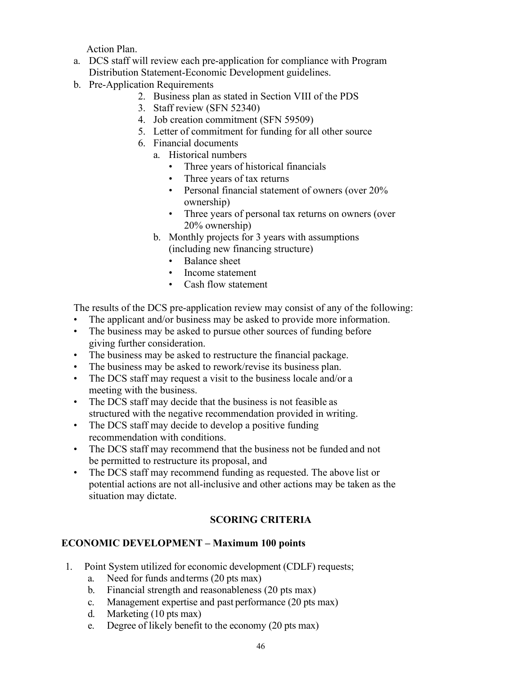Action Plan.

- a. DCS staff will review each pre-application for compliance with Program Distribution Statement-Economic Development guidelines.
- b. Pre-Application Requirements
	- 2. Business plan as stated in Section VIII of the PDS
	- 3. Staff review (SFN 52340)
	- 4. Job creation commitment (SFN 59509)
	- 5. Letter of commitment for funding for all other source
	- 6. Financial documents
		- a. Historical numbers
			- Three years of historical financials
			- Three years of tax returns
			- Personal financial statement of owners (over 20% ownership)
			- Three years of personal tax returns on owners (over 20% ownership)
		- b. Monthly projects for 3 years with assumptions
			- (including new financing structure)
				- Balance sheet
				- Income statement
				- Cash flow statement

The results of the DCS pre-application review may consist of any of the following:

- The applicant and/or business may be asked to provide more information.
- The business may be asked to pursue other sources of funding before giving further consideration.
- The business may be asked to restructure the financial package.
- The business may be asked to rework/revise its business plan.
- The DCS staff may request a visit to the business locale and/or a meeting with the business.
- The DCS staff may decide that the business is not feasible as structured with the negative recommendation provided in writing.
- The DCS staff may decide to develop a positive funding recommendation with conditions.
- The DCS staff may recommend that the business not be funded and not be permitted to restructure its proposal, and
- The DCS staff may recommend funding as requested. The above list or potential actions are not all-inclusive and other actions may be taken as the situation may dictate.

# **SCORING CRITERIA**

# **ECONOMIC DEVELOPMENT – Maximum 100 points**

- 1. Point System utilized for economic development (CDLF) requests;
	- a. Need for funds andterms (20 pts max)
	- b. Financial strength and reasonableness (20 pts max)
	- c. Management expertise and past performance (20 pts max)
	- d. Marketing (10 pts max)
	- e. Degree of likely benefit to the economy (20 pts max)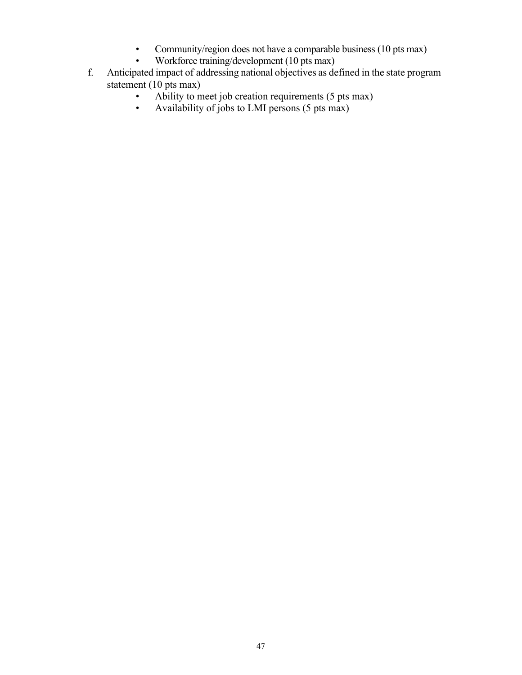- Community/region does not have a comparable business (10 pts max)<br>• Workforce training/development (10 pts max)
- Workforce training/development (10 pts max)
- f. Anticipated impact of addressing national objectives as defined in the state program statement  $(10 \text{ pts max})$ 
	- Ability to meet job creation requirements (5 pts max)<br>• Availability of jobs to LMI persons (5 pts max)
	- Availability of jobs to LMI persons (5 pts max)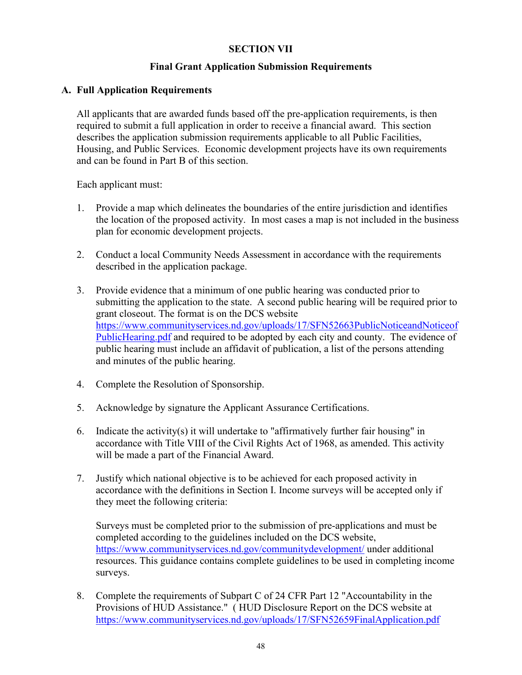#### **SECTION VII**

#### **Final Grant Application Submission Requirements**

#### **A. Full Application Requirements**

All applicants that are awarded funds based off the pre-application requirements, is then required to submit a full application in order to receive a financial award. This section describes the application submission requirements applicable to all Public Facilities, Housing, and Public Services. Economic development projects have its own requirements and can be found in Part B of this section.

Each applicant must:

- 1. Provide a map which delineates the boundaries of the entire jurisdiction and identifies the location of the proposed activity. In most cases a map is not included in the business plan for economic development projects.
- 2. Conduct a local Community Needs Assessment in accordance with the requirements described in the application package.
- 3. Provide evidence that a minimum of one public hearing was conducted prior to submitting the application to the state. A second public hearing will be required prior to grant closeout. The format is on the DCS website [https://www.communityservices.nd.gov/uploads/17/SFN52663PublicNoticeandNoticeof](https://www.communityservices.nd.gov/uploads/17/SFN52663PublicNoticeandNoticeofPublicHearing.pdf) [PublicHearing.pdf](https://www.communityservices.nd.gov/uploads/17/SFN52663PublicNoticeandNoticeofPublicHearing.pdf) and required to be adopted by each city and county. The evidence of public hearing must include an affidavit of publication, a list of the persons attending and minutes of the public hearing.
- 4. Complete the Resolution of Sponsorship.
- 5. Acknowledge by signature the Applicant Assurance Certifications.
- 6. Indicate the activity(s) it will undertake to "affirmatively further fair housing" in accordance with Title VIII of the Civil Rights Act of 1968, as amended. This activity will be made a part of the Financial Award.
- 7. Justify which national objective is to be achieved for each proposed activity in accordance with the definitions in Section I. Income surveys will be accepted only if they meet the following criteria:

Surveys must be completed prior to the submission of pre-applications and must be completed according to the guidelines included on the DCS website, <https://www.communityservices.nd.gov/communitydevelopment/>under additional resources. This guidance contains complete guidelines to be used in completing income surveys.

8. Complete the requirements of Subpart C of 24 CFR Part 12 "Accountability in the Provisions of HUD Assistance." ( HUD Disclosure Report on the DCS website at <https://www.communityservices.nd.gov/uploads/17/SFN52659FinalApplication.pdf>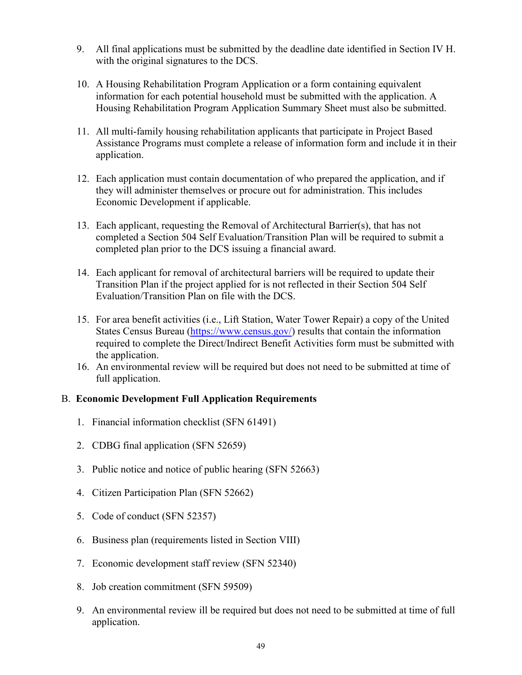- 9. All final applications must be submitted by the deadline date identified in Section IV H. with the original signatures to the DCS.
- 10. A Housing Rehabilitation Program Application or a form containing equivalent information for each potential household must be submitted with the application. A Housing Rehabilitation Program Application Summary Sheet must also be submitted.
- 11. All multi-family housing rehabilitation applicants that participate in Project Based Assistance Programs must complete a release of information form and include it in their application.
- 12. Each application must contain documentation of who prepared the application, and if they will administer themselves or procure out for administration. This includes Economic Development if applicable.
- 13. Each applicant, requesting the Removal of Architectural Barrier(s), that has not completed a Section 504 Self Evaluation/Transition Plan will be required to submit a completed plan prior to the DCS issuing a financial award.
- 14. Each applicant for removal of architectural barriers will be required to update their Transition Plan if the project applied for is not reflected in their Section 504 Self Evaluation/Transition Plan on file with the DCS.
- 15. For area benefit activities (i.e., Lift Station, Water Tower Repair) a copy of the United States Census Bureau [\(https://www.census.gov/\)](https://www.census.gov/) results that contain the information required to complete the Direct/Indirect Benefit Activities form must be submitted with the application.
- 16. An environmental review will be required but does not need to be submitted at time of full application.

# B. **Economic Development Full Application Requirements**

- 1. Financial information checklist (SFN 61491)
- 2. CDBG final application (SFN 52659)
- 3. Public notice and notice of public hearing (SFN 52663)
- 4. Citizen Participation Plan (SFN 52662)
- 5. Code of conduct (SFN 52357)
- 6. Business plan (requirements listed in Section VIII)
- 7. Economic development staff review (SFN 52340)
- 8. Job creation commitment (SFN 59509)
- 9. An environmental review ill be required but does not need to be submitted at time of full application.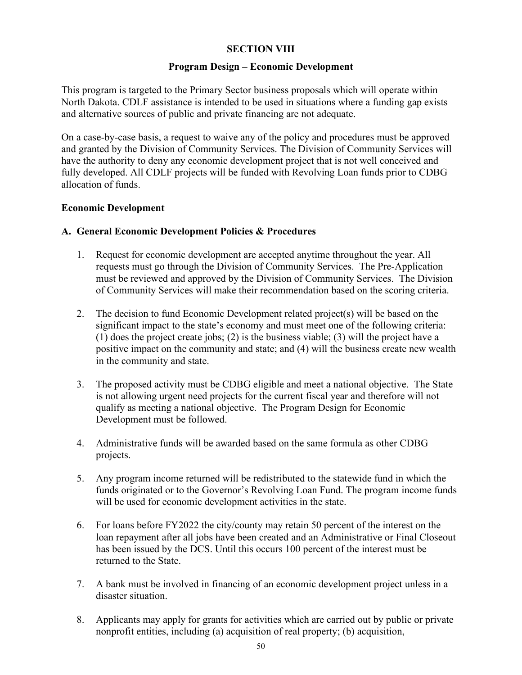#### **SECTION VIII**

#### **Program Design – Economic Development**

This program is targeted to the Primary Sector business proposals which will operate within North Dakota. CDLF assistance is intended to be used in situations where a funding gap exists and alternative sources of public and private financing are not adequate.

On a case-by-case basis, a request to waive any of the policy and procedures must be approved and granted by the Division of Community Services. The Division of Community Services will have the authority to deny any economic development project that is not well conceived and fully developed. All CDLF projects will be funded with Revolving Loan funds prior to CDBG allocation of funds.

#### **Economic Development**

#### **A. General Economic Development Policies & Procedures**

- 1. Request for economic development are accepted anytime throughout the year. All requests must go through the Division of Community Services. The Pre-Application must be reviewed and approved by the Division of Community Services. The Division of Community Services will make their recommendation based on the scoring criteria.
- 2. The decision to fund Economic Development related project(s) will be based on the significant impact to the state's economy and must meet one of the following criteria: (1) does the project create jobs; (2) is the business viable; (3) will the project have a positive impact on the community and state; and (4) will the business create new wealth in the community and state.
- 3. The proposed activity must be CDBG eligible and meet a national objective. The State is not allowing urgent need projects for the current fiscal year and therefore will not qualify as meeting a national objective. The Program Design for Economic Development must be followed.
- 4. Administrative funds will be awarded based on the same formula as other CDBG projects.
- 5. Any program income returned will be redistributed to the statewide fund in which the funds originated or to the Governor's Revolving Loan Fund. The program income funds will be used for economic development activities in the state.
- 6. For loans before FY2022 the city/county may retain 50 percent of the interest on the loan repayment after all jobs have been created and an Administrative or Final Closeout has been issued by the DCS. Until this occurs 100 percent of the interest must be returned to the State.
- 7. A bank must be involved in financing of an economic development project unless in a disaster situation.
- 8. Applicants may apply for grants for activities which are carried out by public or private nonprofit entities, including (a) acquisition of real property; (b) acquisition,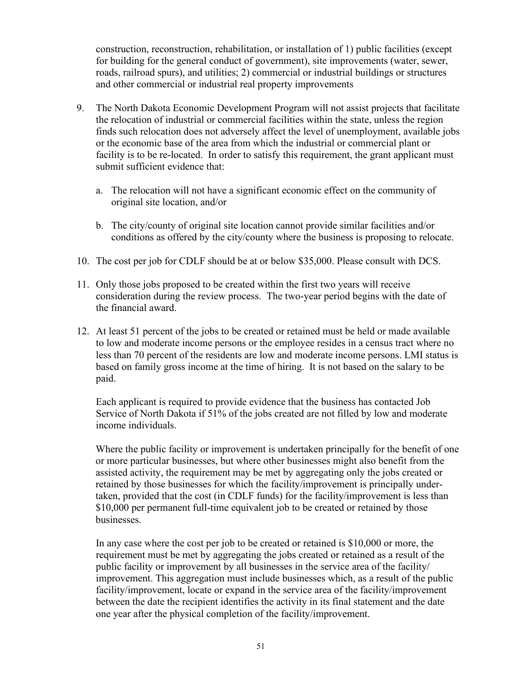construction, reconstruction, rehabilitation, or installation of 1) public facilities (except for building for the general conduct of government), site improvements (water, sewer, roads, railroad spurs), and utilities; 2) commercial or industrial buildings or structures and other commercial or industrial real property improvements

- 9. The North Dakota Economic Development Program will not assist projects that facilitate the relocation of industrial or commercial facilities within the state, unless the region finds such relocation does not adversely affect the level of unemployment, available jobs or the economic base of the area from which the industrial or commercial plant or facility is to be re-located. In order to satisfy this requirement, the grant applicant must submit sufficient evidence that:
	- a. The relocation will not have a significant economic effect on the community of original site location, and/or
	- b. The city/county of original site location cannot provide similar facilities and/or conditions as offered by the city/county where the business is proposing to relocate.
- 10. The cost per job for CDLF should be at or below \$35,000. Please consult with DCS.
- 11. Only those jobs proposed to be created within the first two years will receive consideration during the review process. The two-year period begins with the date of the financial award.
- 12. At least 51 percent of the jobs to be created or retained must be held or made available to low and moderate income persons or the employee resides in a census tract where no less than 70 percent of the residents are low and moderate income persons. LMI status is based on family gross income at the time of hiring. It is not based on the salary to be paid.

Each applicant is required to provide evidence that the business has contacted Job Service of North Dakota if 51% of the jobs created are not filled by low and moderate income individuals.

Where the public facility or improvement is undertaken principally for the benefit of one or more particular businesses, but where other businesses might also benefit from the assisted activity, the requirement may be met by aggregating only the jobs created or retained by those businesses for which the facility/improvement is principally undertaken, provided that the cost (in CDLF funds) for the facility/improvement is less than \$10,000 per permanent full-time equivalent job to be created or retained by those businesses.

In any case where the cost per job to be created or retained is \$10,000 or more, the requirement must be met by aggregating the jobs created or retained as a result of the public facility or improvement by all businesses in the service area of the facility/ improvement. This aggregation must include businesses which, as a result of the public facility/improvement, locate or expand in the service area of the facility/improvement between the date the recipient identifies the activity in its final statement and the date one year after the physical completion of the facility/improvement.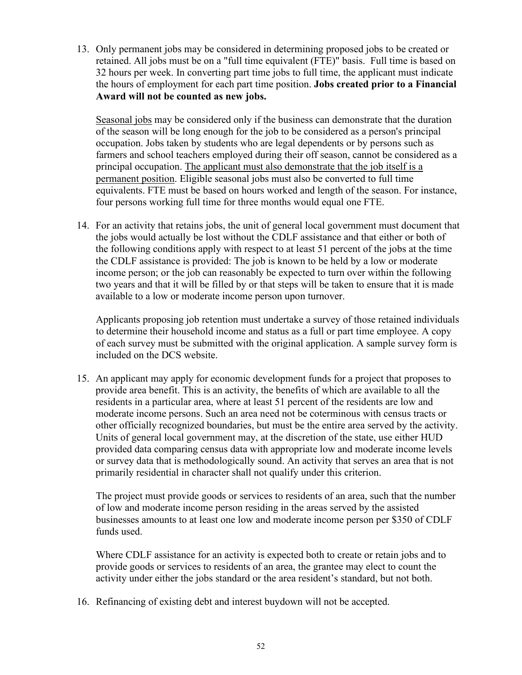13. Only permanent jobs may be considered in determining proposed jobs to be created or retained. All jobs must be on a "full time equivalent (FTE)" basis. Full time is based on 32 hours per week. In converting part time jobs to full time, the applicant must indicate the hours of employment for each part time position. **Jobs created prior to a Financial Award will not be counted as new jobs.**

Seasonal jobs may be considered only if the business can demonstrate that the duration of the season will be long enough for the job to be considered as a person's principal occupation. Jobs taken by students who are legal dependents or by persons such as farmers and school teachers employed during their off season, cannot be considered as a principal occupation. The applicant must also demonstrate that the job itself is a permanent position. Eligible seasonal jobs must also be converted to full time equivalents. FTE must be based on hours worked and length of the season. For instance, four persons working full time for three months would equal one FTE.

14. For an activity that retains jobs, the unit of general local government must document that the jobs would actually be lost without the CDLF assistance and that either or both of the following conditions apply with respect to at least 51 percent of the jobs at the time the CDLF assistance is provided: The job is known to be held by a low or moderate income person; or the job can reasonably be expected to turn over within the following two years and that it will be filled by or that steps will be taken to ensure that it is made available to a low or moderate income person upon turnover.

Applicants proposing job retention must undertake a survey of those retained individuals to determine their household income and status as a full or part time employee. A copy of each survey must be submitted with the original application. A sample survey form is included on the DCS website.

15. An applicant may apply for economic development funds for a project that proposes to provide area benefit. This is an activity, the benefits of which are available to all the residents in a particular area, where at least 51 percent of the residents are low and moderate income persons. Such an area need not be coterminous with census tracts or other officially recognized boundaries, but must be the entire area served by the activity. Units of general local government may, at the discretion of the state, use either HUD provided data comparing census data with appropriate low and moderate income levels or survey data that is methodologically sound. An activity that serves an area that is not primarily residential in character shall not qualify under this criterion.

The project must provide goods or services to residents of an area, such that the number of low and moderate income person residing in the areas served by the assisted businesses amounts to at least one low and moderate income person per \$350 of CDLF funds used.

Where CDLF assistance for an activity is expected both to create or retain jobs and to provide goods or services to residents of an area, the grantee may elect to count the activity under either the jobs standard or the area resident's standard, but not both.

16. Refinancing of existing debt and interest buydown will not be accepted.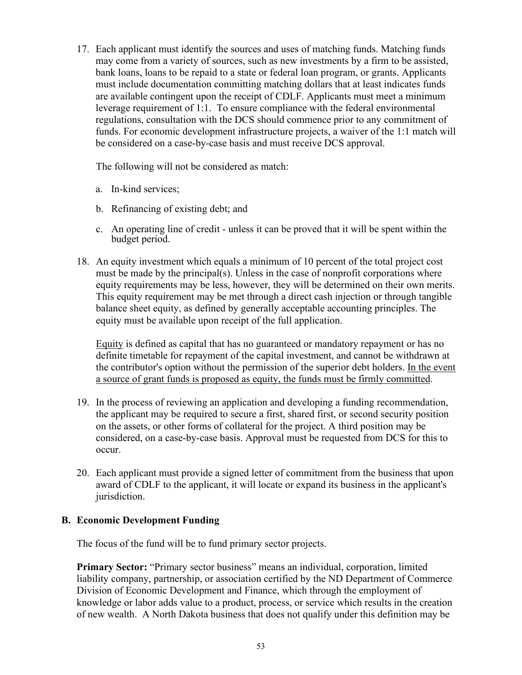17. Each applicant must identify the sources and uses of matching funds. Matching funds may come from a variety of sources, such as new investments by a firm to be assisted, bank loans, loans to be repaid to a state or federal loan program, or grants. Applicants must include documentation committing matching dollars that at least indicates funds are available contingent upon the receipt of CDLF. Applicants must meet a minimum leverage requirement of 1:1. To ensure compliance with the federal environmental regulations, consultation with the DCS should commence prior to any commitment of funds. For economic development infrastructure projects, a waiver of the 1:1 match will be considered on a case-by-case basis and must receive DCS approval.

The following will not be considered as match:

- a. In-kind services;
- b. Refinancing of existing debt; and
- c. An operating line of credit unless it can be proved that it will be spent within the budget period.
- 18. An equity investment which equals a minimum of 10 percent of the total project cost must be made by the principal(s). Unless in the case of nonprofit corporations where equity requirements may be less, however, they will be determined on their own merits. This equity requirement may be met through a direct cash injection or through tangible balance sheet equity, as defined by generally acceptable accounting principles. The equity must be available upon receipt of the full application.

Equity is defined as capital that has no guaranteed or mandatory repayment or has no definite timetable for repayment of the capital investment, and cannot be withdrawn at the contributor's option without the permission of the superior debt holders. In the event a source of grant funds is proposed as equity, the funds must be firmly committed.

- 19. In the process of reviewing an application and developing a funding recommendation, the applicant may be required to secure a first, shared first, or second security position on the assets, or other forms of collateral for the project. A third position may be considered, on a case-by-case basis. Approval must be requested from DCS for this to occur.
- 20. Each applicant must provide a signed letter of commitment from the business that upon award of CDLF to the applicant, it will locate or expand its business in the applicant's jurisdiction.

# **B. Economic Development Funding**

The focus of the fund will be to fund primary sector projects.

**Primary Sector:** "Primary sector business" means an individual, corporation, limited liability company, partnership, or association certified by the ND Department of Commerce Division of Economic Development and Finance, which through the employment of knowledge or labor adds value to a product, process, or service which results in the creation of new wealth. A North Dakota business that does not qualify under this definition may be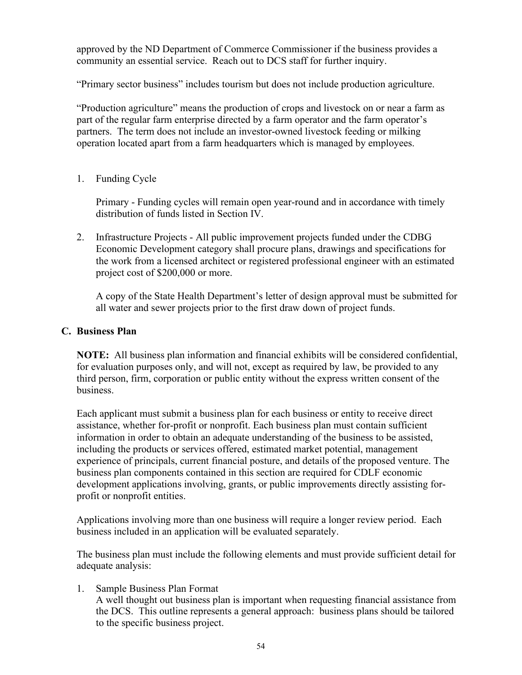approved by the ND Department of Commerce Commissioner if the business provides a community an essential service. Reach out to DCS staff for further inquiry.

"Primary sector business" includes tourism but does not include production agriculture.

"Production agriculture" means the production of crops and livestock on or near a farm as part of the regular farm enterprise directed by a farm operator and the farm operator's partners. The term does not include an investor-owned livestock feeding or milking operation located apart from a farm headquarters which is managed by employees.

1. Funding Cycle

Primary - Funding cycles will remain open year-round and in accordance with timely distribution of funds listed in Section IV.

2. Infrastructure Projects - All public improvement projects funded under the CDBG Economic Development category shall procure plans, drawings and specifications for the work from a licensed architect or registered professional engineer with an estimated project cost of \$200,000 or more.

A copy of the State Health Department's letter of design approval must be submitted for all water and sewer projects prior to the first draw down of project funds.

#### **C. Business Plan**

**NOTE:** All business plan information and financial exhibits will be considered confidential, for evaluation purposes only, and will not, except as required by law, be provided to any third person, firm, corporation or public entity without the express written consent of the business.

Each applicant must submit a business plan for each business or entity to receive direct assistance, whether for-profit or nonprofit. Each business plan must contain sufficient information in order to obtain an adequate understanding of the business to be assisted, including the products or services offered, estimated market potential, management experience of principals, current financial posture, and details of the proposed venture. The business plan components contained in this section are required for CDLF economic development applications involving, grants, or public improvements directly assisting forprofit or nonprofit entities.

Applications involving more than one business will require a longer review period. Each business included in an application will be evaluated separately.

The business plan must include the following elements and must provide sufficient detail for adequate analysis:

1. Sample Business Plan Format A well thought out business plan is important when requesting financial assistance from the DCS. This outline represents a general approach: business plans should be tailored to the specific business project.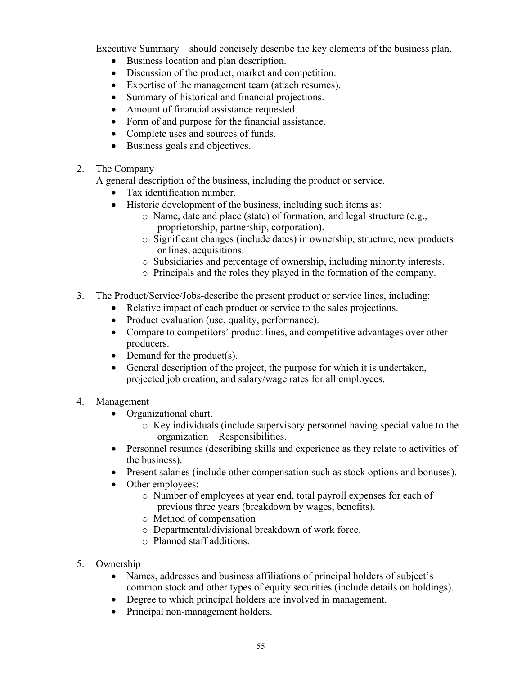Executive Summary – should concisely describe the key elements of the business plan.

- Business location and plan description.
- Discussion of the product, market and competition.
- Expertise of the management team (attach resumes).
- Summary of historical and financial projections.
- Amount of financial assistance requested.
- Form of and purpose for the financial assistance.
- Complete uses and sources of funds.
- Business goals and objectives.
- 2. The Company

A general description of the business, including the product or service.

- Tax identification number.
- Historic development of the business, including such items as:
	- o Name, date and place (state) of formation, and legal structure (e.g., proprietorship, partnership, corporation).
	- o Significant changes (include dates) in ownership, structure, new products or lines, acquisitions.
	- o Subsidiaries and percentage of ownership, including minority interests.
	- o Principals and the roles they played in the formation of the company.
- 3. The Product/Service/Jobs-describe the present product or service lines, including:
	- Relative impact of each product or service to the sales projections.
	- Product evaluation (use, quality, performance).
	- Compare to competitors' product lines, and competitive advantages over other producers.
	- Demand for the product(s).
	- General description of the project, the purpose for which it is undertaken, projected job creation, and salary/wage rates for all employees.
- 4. Management
	- Organizational chart.
		- o Key individuals (include supervisory personnel having special value to the organization – Responsibilities.
	- Personnel resumes (describing skills and experience as they relate to activities of the business).
	- Present salaries (include other compensation such as stock options and bonuses).
	- Other employees:
		- o Number of employees at year end, total payroll expenses for each of previous three years (breakdown by wages, benefits).
		- o Method of compensation
		- o Departmental/divisional breakdown of work force.
		- o Planned staff additions.
- 5. Ownership
	- Names, addresses and business affiliations of principal holders of subject's common stock and other types of equity securities (include details on holdings).
	- Degree to which principal holders are involved in management.
	- Principal non-management holders.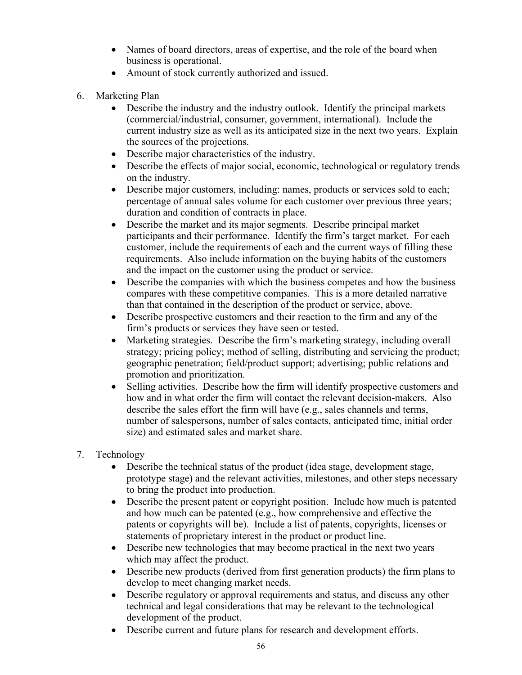- Names of board directors, areas of expertise, and the role of the board when business is operational.
- Amount of stock currently authorized and issued.
- 6. Marketing Plan
	- Describe the industry and the industry outlook. Identify the principal markets (commercial/industrial, consumer, government, international). Include the current industry size as well as its anticipated size in the next two years. Explain the sources of the projections.
	- Describe major characteristics of the industry.
	- Describe the effects of major social, economic, technological or regulatory trends on the industry.
	- Describe major customers, including: names, products or services sold to each; percentage of annual sales volume for each customer over previous three years; duration and condition of contracts in place.
	- Describe the market and its major segments. Describe principal market participants and their performance. Identify the firm's target market. For each customer, include the requirements of each and the current ways of filling these requirements. Also include information on the buying habits of the customers and the impact on the customer using the product or service.
	- Describe the companies with which the business competes and how the business compares with these competitive companies. This is a more detailed narrative than that contained in the description of the product or service, above.
	- Describe prospective customers and their reaction to the firm and any of the firm's products or services they have seen or tested.
	- Marketing strategies. Describe the firm's marketing strategy, including overall strategy; pricing policy; method of selling, distributing and servicing the product; geographic penetration; field/product support; advertising; public relations and promotion and prioritization.
	- Selling activities. Describe how the firm will identify prospective customers and how and in what order the firm will contact the relevant decision-makers. Also describe the sales effort the firm will have (e.g., sales channels and terms, number of salespersons, number of sales contacts, anticipated time, initial order size) and estimated sales and market share.
- 7. Technology
	- Describe the technical status of the product (idea stage, development stage, prototype stage) and the relevant activities, milestones, and other steps necessary to bring the product into production.
	- Describe the present patent or copyright position. Include how much is patented and how much can be patented (e.g., how comprehensive and effective the patents or copyrights will be). Include a list of patents, copyrights, licenses or statements of proprietary interest in the product or product line.
	- Describe new technologies that may become practical in the next two years which may affect the product.
	- Describe new products (derived from first generation products) the firm plans to develop to meet changing market needs.
	- Describe regulatory or approval requirements and status, and discuss any other technical and legal considerations that may be relevant to the technological development of the product.
	- Describe current and future plans for research and development efforts.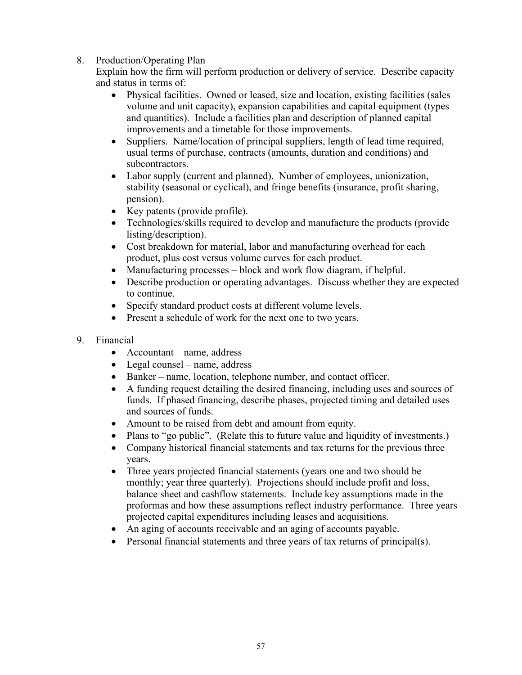8. Production/Operating Plan

Explain how the firm will perform production or delivery of service. Describe capacity and status in terms of:

- Physical facilities. Owned or leased, size and location, existing facilities (sales volume and unit capacity), expansion capabilities and capital equipment (types and quantities). Include a facilities plan and description of planned capital improvements and a timetable for those improvements.
- Suppliers. Name/location of principal suppliers, length of lead time required, usual terms of purchase, contracts (amounts, duration and conditions) and subcontractors.
- Labor supply (current and planned). Number of employees, unionization, stability (seasonal or cyclical), and fringe benefits (insurance, profit sharing, pension).
- Key patents (provide profile).
- Technologies/skills required to develop and manufacture the products (provide listing/description).
- Cost breakdown for material, labor and manufacturing overhead for each product, plus cost versus volume curves for each product.
- Manufacturing processes block and work flow diagram, if helpful.
- Describe production or operating advantages. Discuss whether they are expected to continue.
- Specify standard product costs at different volume levels.
- Present a schedule of work for the next one to two years.
- 9. Financial
	- Accountant name, address
	- Legal counsel name, address
	- Banker name, location, telephone number, and contact officer.
	- A funding request detailing the desired financing, including uses and sources of funds. If phased financing, describe phases, projected timing and detailed uses and sources of funds.
	- Amount to be raised from debt and amount from equity.
	- Plans to "go public". (Relate this to future value and liquidity of investments.)
	- Company historical financial statements and tax returns for the previous three years.
	- Three years projected financial statements (years one and two should be monthly; year three quarterly). Projections should include profit and loss, balance sheet and cashflow statements. Include key assumptions made in the proformas and how these assumptions reflect industry performance. Three years projected capital expenditures including leases and acquisitions.
	- An aging of accounts receivable and an aging of accounts payable.
	- Personal financial statements and three years of tax returns of principal(s).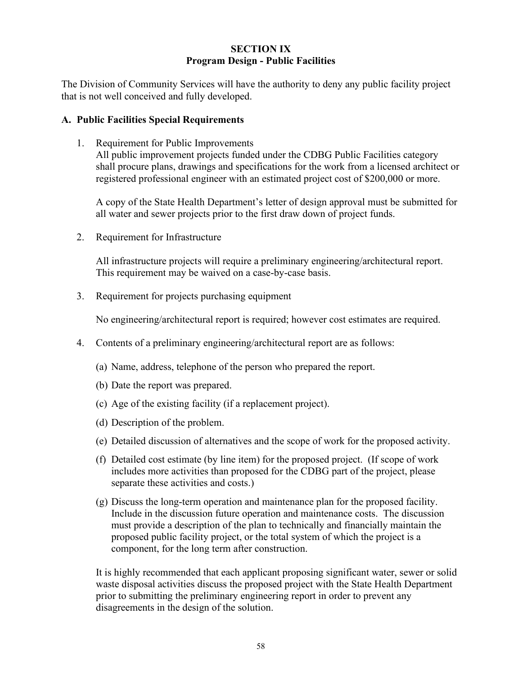#### **SECTION IX Program Design - Public Facilities**

The Division of Community Services will have the authority to deny any public facility project that is not well conceived and fully developed.

# **A. Public Facilities Special Requirements**

1. Requirement for Public Improvements All public improvement projects funded under the CDBG Public Facilities category shall procure plans, drawings and specifications for the work from a licensed architect or registered professional engineer with an estimated project cost of \$200,000 or more.

A copy of the State Health Department's letter of design approval must be submitted for all water and sewer projects prior to the first draw down of project funds.

2. Requirement for Infrastructure

All infrastructure projects will require a preliminary engineering/architectural report. This requirement may be waived on a case-by-case basis.

3. Requirement for projects purchasing equipment

No engineering/architectural report is required; however cost estimates are required.

- 4. Contents of a preliminary engineering/architectural report are as follows:
	- (a) Name, address, telephone of the person who prepared the report.
	- (b) Date the report was prepared.
	- (c) Age of the existing facility (if a replacement project).
	- (d) Description of the problem.
	- (e) Detailed discussion of alternatives and the scope of work for the proposed activity.
	- (f) Detailed cost estimate (by line item) for the proposed project. (If scope of work includes more activities than proposed for the CDBG part of the project, please separate these activities and costs.)
	- (g) Discuss the long-term operation and maintenance plan for the proposed facility. Include in the discussion future operation and maintenance costs. The discussion must provide a description of the plan to technically and financially maintain the proposed public facility project, or the total system of which the project is a component, for the long term after construction.

It is highly recommended that each applicant proposing significant water, sewer or solid waste disposal activities discuss the proposed project with the State Health Department prior to submitting the preliminary engineering report in order to prevent any disagreements in the design of the solution.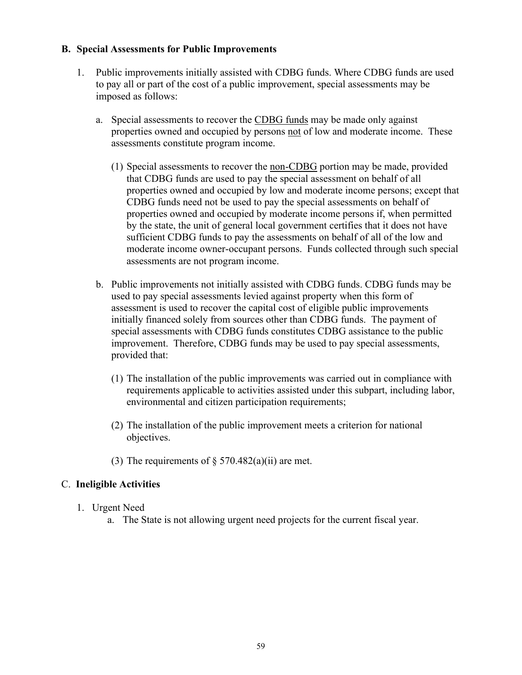#### **B. Special Assessments for Public Improvements**

- 1. Public improvements initially assisted with CDBG funds. Where CDBG funds are used to pay all or part of the cost of a public improvement, special assessments may be imposed as follows:
	- a. Special assessments to recover the CDBG funds may be made only against properties owned and occupied by persons not of low and moderate income. These assessments constitute program income.
		- (1) Special assessments to recover the non-CDBG portion may be made, provided that CDBG funds are used to pay the special assessment on behalf of all properties owned and occupied by low and moderate income persons; except that CDBG funds need not be used to pay the special assessments on behalf of properties owned and occupied by moderate income persons if, when permitted by the state, the unit of general local government certifies that it does not have sufficient CDBG funds to pay the assessments on behalf of all of the low and moderate income owner-occupant persons. Funds collected through such special assessments are not program income.
	- b. Public improvements not initially assisted with CDBG funds. CDBG funds may be used to pay special assessments levied against property when this form of assessment is used to recover the capital cost of eligible public improvements initially financed solely from sources other than CDBG funds. The payment of special assessments with CDBG funds constitutes CDBG assistance to the public improvement. Therefore, CDBG funds may be used to pay special assessments, provided that:
		- (1) The installation of the public improvements was carried out in compliance with requirements applicable to activities assisted under this subpart, including labor, environmental and citizen participation requirements;
		- (2) The installation of the public improvement meets a criterion for national objectives.
		- (3) The requirements of  $\S$  570.482(a)(ii) are met.

# C. **Ineligible Activities**

- 1. Urgent Need
	- a. The State is not allowing urgent need projects for the current fiscal year.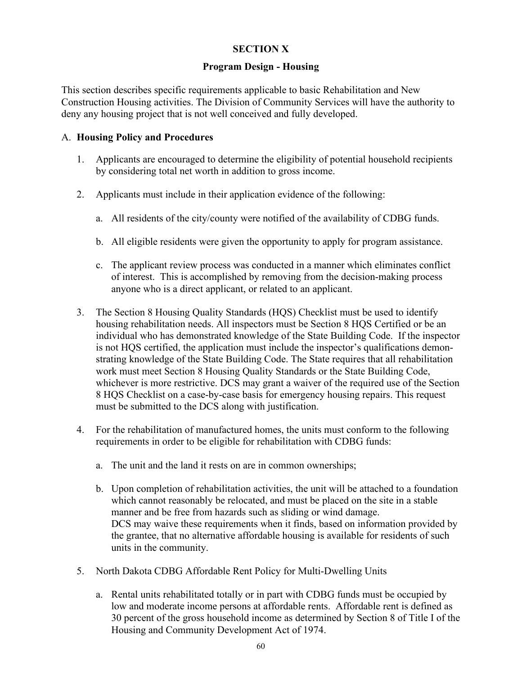# **SECTION X**

#### **Program Design - Housing**

This section describes specific requirements applicable to basic Rehabilitation and New Construction Housing activities. The Division of Community Services will have the authority to deny any housing project that is not well conceived and fully developed.

#### A. **Housing Policy and Procedures**

- 1. Applicants are encouraged to determine the eligibility of potential household recipients by considering total net worth in addition to gross income.
- 2. Applicants must include in their application evidence of the following:
	- a. All residents of the city/county were notified of the availability of CDBG funds.
	- b. All eligible residents were given the opportunity to apply for program assistance.
	- c. The applicant review process was conducted in a manner which eliminates conflict of interest. This is accomplished by removing from the decision-making process anyone who is a direct applicant, or related to an applicant.
- 3. The Section 8 Housing Quality Standards (HQS) Checklist must be used to identify housing rehabilitation needs. All inspectors must be Section 8 HQS Certified or be an individual who has demonstrated knowledge of the State Building Code. If the inspector is not HQS certified, the application must include the inspector's qualifications demonstrating knowledge of the State Building Code. The State requires that all rehabilitation work must meet Section 8 Housing Quality Standards or the State Building Code, whichever is more restrictive. DCS may grant a waiver of the required use of the Section 8 HQS Checklist on a case-by-case basis for emergency housing repairs. This request must be submitted to the DCS along with justification.
- 4. For the rehabilitation of manufactured homes, the units must conform to the following requirements in order to be eligible for rehabilitation with CDBG funds:
	- a. The unit and the land it rests on are in common ownerships;
	- b. Upon completion of rehabilitation activities, the unit will be attached to a foundation which cannot reasonably be relocated, and must be placed on the site in a stable manner and be free from hazards such as sliding or wind damage. DCS may waive these requirements when it finds, based on information provided by the grantee, that no alternative affordable housing is available for residents of such units in the community.
- 5. North Dakota CDBG Affordable Rent Policy for Multi-Dwelling Units
	- a. Rental units rehabilitated totally or in part with CDBG funds must be occupied by low and moderate income persons at affordable rents. Affordable rent is defined as 30 percent of the gross household income as determined by Section 8 of Title I of the Housing and Community Development Act of 1974.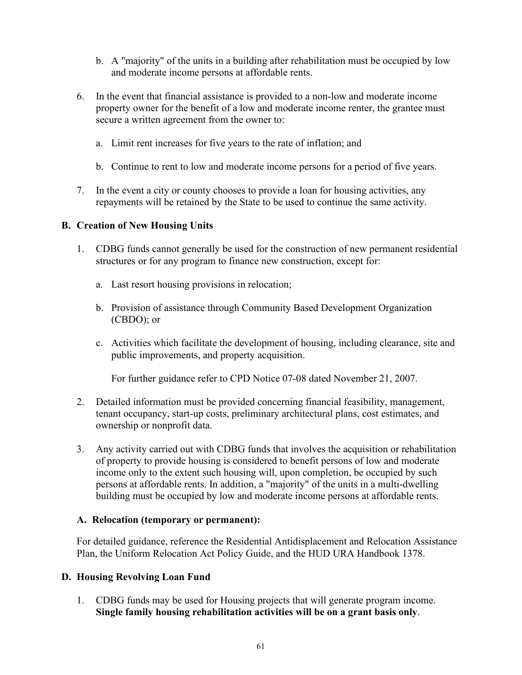- b. A "majority" of the units in a building after rehabilitation must be occupied by low and moderate income persons at affordable rents.
- 6. In the event that financial assistance is provided to a non-low and moderate income property owner for the benefit of a low and moderate income renter, the grantee must secure a written agreement from the owner to:
	- a. Limit rent increases for five years to the rate of inflation; and
	- b. Continue to rent to low and moderate income persons for a period of five years.
- 7. In the event a city or county chooses to provide a loan for housing activities, any repayments will be retained by the State to be used to continue the same activity.

#### **B. Creation of New Housing Units**

- 1. CDBG funds cannot generally be used for the construction of new permanent residential structures or for any program to finance new construction, except for:
	- a. Last resort housing provisions in relocation;
	- b. Provision of assistance through Community Based Development Organization (CBDO); or
	- c. Activities which facilitate the development of housing, including clearance, site and public improvements, and property acquisition.

For further guidance refer to CPD Notice 07-08 dated November 21, 2007.

- 2. Detailed information must be provided concerning financial feasibility, management, tenant occupancy, start-up costs, preliminary architectural plans, cost estimates, and ownership or nonprofit data.
- 3. Any activity carried out with CDBG funds that involves the acquisition or rehabilitation of property to provide housing is considered to benefit persons of low and moderate income only to the extent such housing will, upon completion, be occupied by such persons at affordable rents. In addition, a "majority" of the units in a multi-dwelling building must be occupied by low and moderate income persons at affordable rents.

#### **A. Relocation (temporary or permanent):**

For detailed guidance, reference the Residential Antidisplacement and Relocation Assistance Plan, the Uniform Relocation Act Policy Guide, and the HUD URA Handbook 1378.

#### **D. Housing Revolving Loan Fund**

1. CDBG funds may be used for Housing projects that will generate program income. **Single family housing rehabilitation activities will be on a grant basis only**.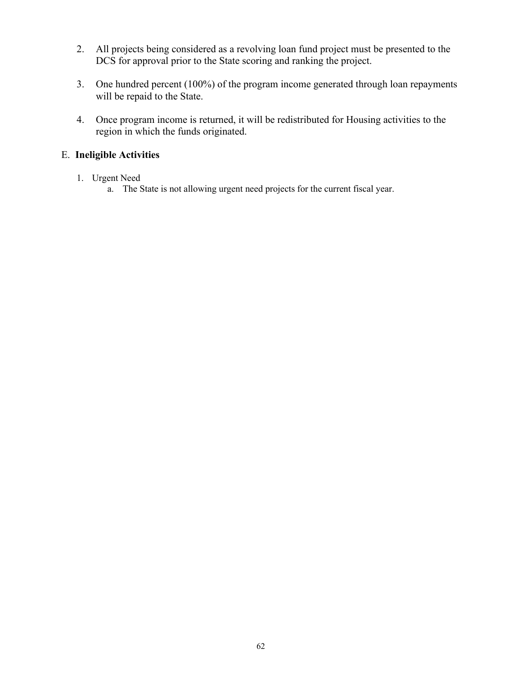- 2. All projects being considered as a revolving loan fund project must be presented to the DCS for approval prior to the State scoring and ranking the project.
- 3. One hundred percent (100%) of the program income generated through loan repayments will be repaid to the State.
- 4. Once program income is returned, it will be redistributed for Housing activities to the region in which the funds originated.

# E. **Ineligible Activities**

- 1. Urgent Need
	- a. The State is not allowing urgent need projects for the current fiscal year.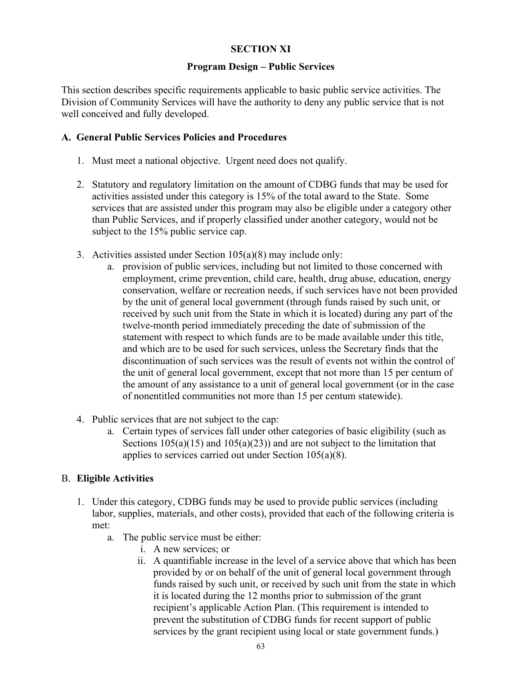# **SECTION XI**

#### **Program Design – Public Services**

This section describes specific requirements applicable to basic public service activities. The Division of Community Services will have the authority to deny any public service that is not well conceived and fully developed.

#### **A. General Public Services Policies and Procedures**

- 1. Must meet a national objective. Urgent need does not qualify.
- 2. Statutory and regulatory limitation on the amount of CDBG funds that may be used for activities assisted under this category is 15% of the total award to the State. Some services that are assisted under this program may also be eligible under a category other than Public Services, and if properly classified under another category, would not be subject to the 15% public service cap.
- 3. Activities assisted under Section 105(a)(8) may include only:
	- a. provision of public services, including but not limited to those concerned with employment, crime prevention, child care, health, drug abuse, education, energy conservation, welfare or recreation needs, if such services have not been provided by the unit of general local government (through funds raised by such unit, or received by such unit from the State in which it is located) during any part of the twelve-month period immediately preceding the date of submission of the statement with respect to which funds are to be made available under this title, and which are to be used for such services, unless the Secretary finds that the discontinuation of such services was the result of events not within the control of the unit of general local government, except that not more than 15 per centum of the amount of any assistance to a unit of general local government (or in the case of nonentitled communities not more than 15 per centum statewide).
- 4. Public services that are not subject to the cap:
	- a. Certain types of services fall under other categories of basic eligibility (such as Sections  $105(a)(15)$  and  $105(a)(23)$  and are not subject to the limitation that applies to services carried out under Section 105(a)(8).

#### B. **Eligible Activities**

- 1. Under this category, CDBG funds may be used to provide public services (including labor, supplies, materials, and other costs), provided that each of the following criteria is met:
	- a. The public service must be either:
		- i. A new services; or
		- ii. A quantifiable increase in the level of a service above that which has been provided by or on behalf of the unit of general local government through funds raised by such unit, or received by such unit from the state in which it is located during the 12 months prior to submission of the grant recipient's applicable Action Plan. (This requirement is intended to prevent the substitution of CDBG funds for recent support of public services by the grant recipient using local or state government funds.)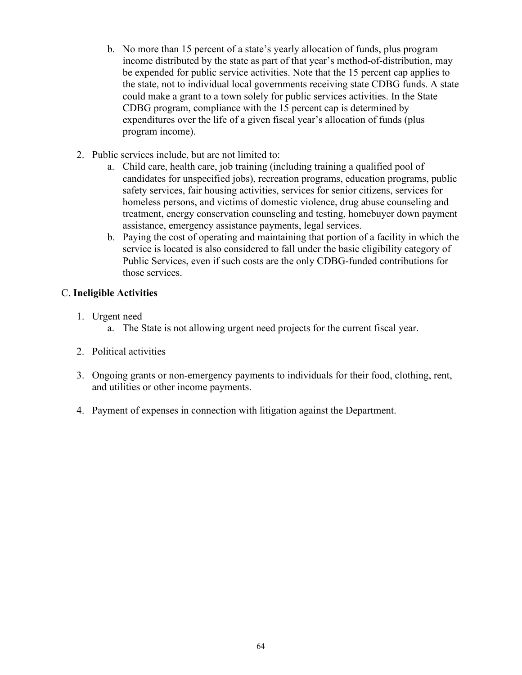- b. No more than 15 percent of a state's yearly allocation of funds, plus program income distributed by the state as part of that year's method-of-distribution, may be expended for public service activities. Note that the 15 percent cap applies to the state, not to individual local governments receiving state CDBG funds. A state could make a grant to a town solely for public services activities. In the State CDBG program, compliance with the 15 percent cap is determined by expenditures over the life of a given fiscal year's allocation of funds (plus program income).
- 2. Public services include, but are not limited to:
	- a. Child care, health care, job training (including training a qualified pool of candidates for unspecified jobs), recreation programs, education programs, public safety services, fair housing activities, services for senior citizens, services for homeless persons, and victims of domestic violence, drug abuse counseling and treatment, energy conservation counseling and testing, homebuyer down payment assistance, emergency assistance payments, legal services.
	- b. Paying the cost of operating and maintaining that portion of a facility in which the service is located is also considered to fall under the basic eligibility category of Public Services, even if such costs are the only CDBG-funded contributions for those services.

# C. **Ineligible Activities**

- 1. Urgent need
	- a. The State is not allowing urgent need projects for the current fiscal year.
- 2. Political activities
- 3. Ongoing grants or non-emergency payments to individuals for their food, clothing, rent, and utilities or other income payments.
- 4. Payment of expenses in connection with litigation against the Department.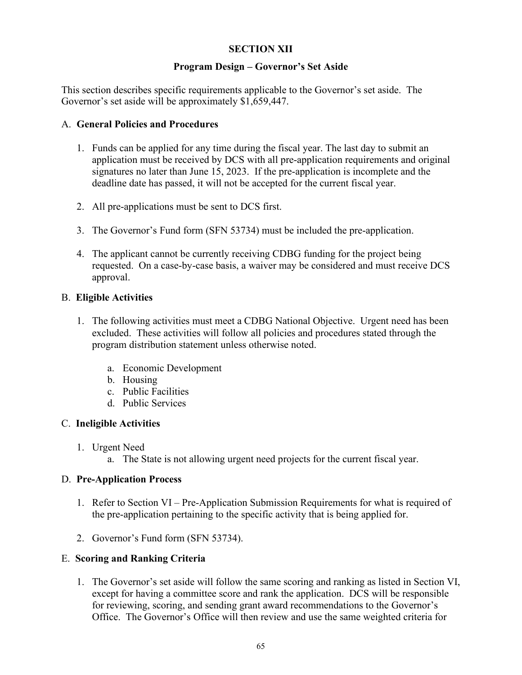# **SECTION XII**

#### **Program Design – Governor's Set Aside**

This section describes specific requirements applicable to the Governor's set aside. The Governor's set aside will be approximately \$1,659,447.

#### A. **General Policies and Procedures**

- 1. Funds can be applied for any time during the fiscal year. The last day to submit an application must be received by DCS with all pre-application requirements and original signatures no later than June 15, 2023. If the pre-application is incomplete and the deadline date has passed, it will not be accepted for the current fiscal year.
- 2. All pre-applications must be sent to DCS first.
- 3. The Governor's Fund form (SFN 53734) must be included the pre-application.
- 4. The applicant cannot be currently receiving CDBG funding for the project being requested. On a case-by-case basis, a waiver may be considered and must receive DCS approval.

#### B. **Eligible Activities**

- 1. The following activities must meet a CDBG National Objective. Urgent need has been excluded. These activities will follow all policies and procedures stated through the program distribution statement unless otherwise noted.
	- a. Economic Development
	- b. Housing
	- c. Public Facilities
	- d. Public Services

# C. **Ineligible Activities**

- 1. Urgent Need
	- a. The State is not allowing urgent need projects for the current fiscal year.

#### D. **Pre-Application Process**

- 1. Refer to Section VI Pre-Application Submission Requirements for what is required of the pre-application pertaining to the specific activity that is being applied for.
- 2. Governor's Fund form (SFN 53734).

# E. **Scoring and Ranking Criteria**

1. The Governor's set aside will follow the same scoring and ranking as listed in Section VI, except for having a committee score and rank the application. DCS will be responsible for reviewing, scoring, and sending grant award recommendations to the Governor's Office. The Governor's Office will then review and use the same weighted criteria for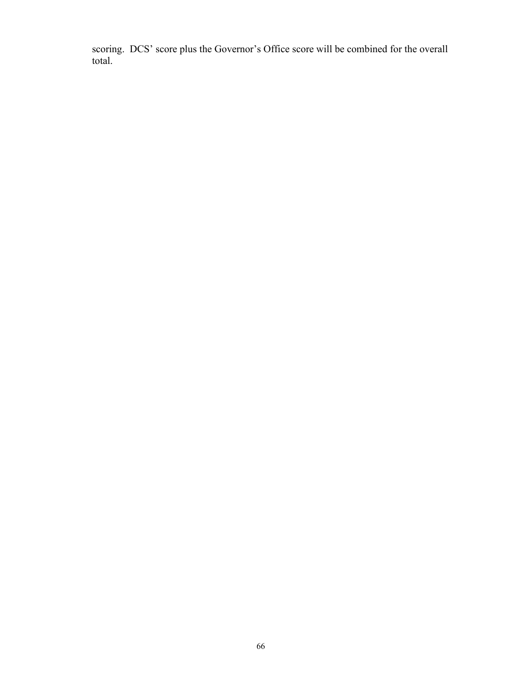scoring. DCS' score plus the Governor's Office score will be combined for the overall total.